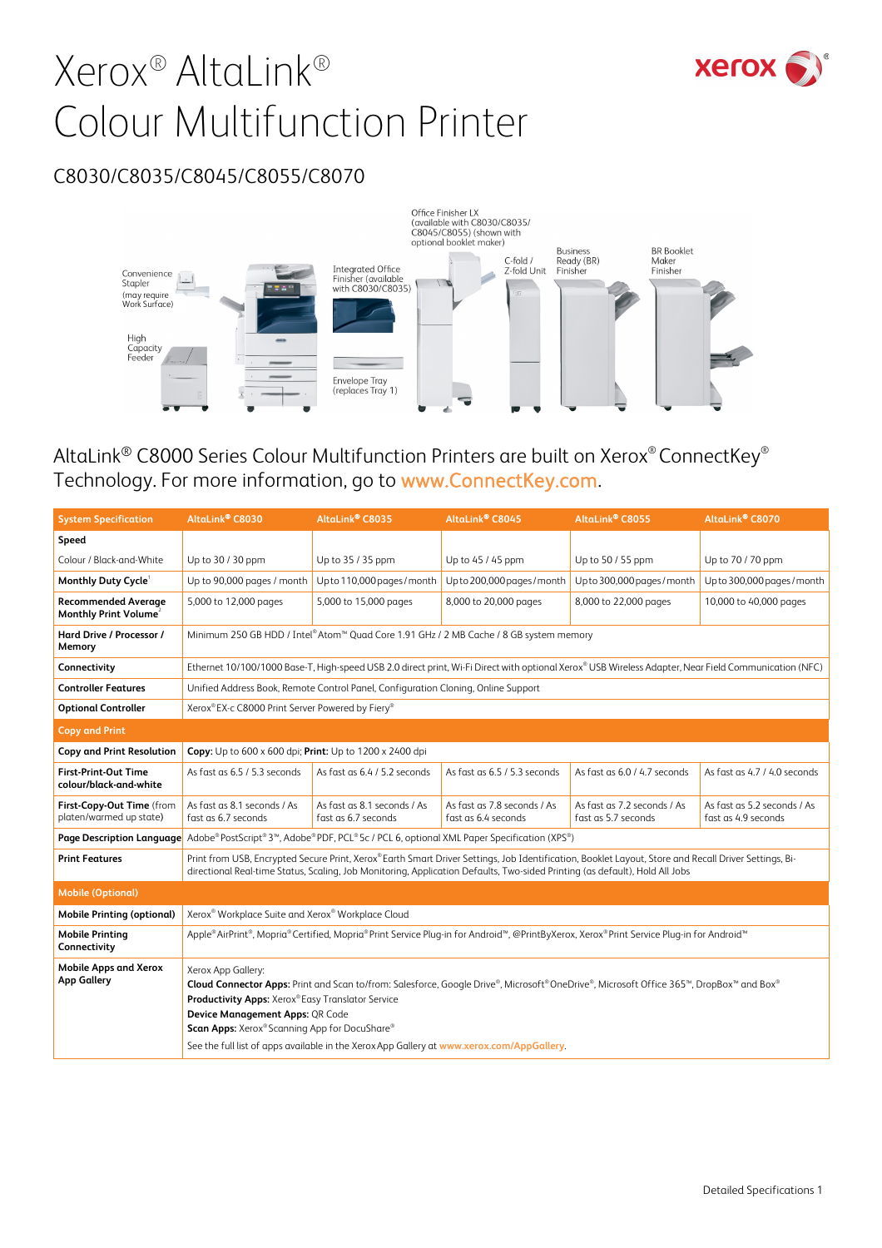# Xerox® AltaLink® Colour Multifunction Printer



## C8030/C8035/C8045/C8055/C8070



# AltaLink® C8000 Series Colour Multifunction Printers are built on Xerox® ConnectKey® Technology. For more information, go to www.ConnectKey.com.

| <b>System Specification</b>                                     | AltaLink® C8030                                                                                                                                                                                                                                                                                                                                                                                   | AltaLink® C8035                                                                   | AltaLink® C8045                                                                                                                                      | AltaLink® C8055                                    | AltaLink® C8070                                    |
|-----------------------------------------------------------------|---------------------------------------------------------------------------------------------------------------------------------------------------------------------------------------------------------------------------------------------------------------------------------------------------------------------------------------------------------------------------------------------------|-----------------------------------------------------------------------------------|------------------------------------------------------------------------------------------------------------------------------------------------------|----------------------------------------------------|----------------------------------------------------|
| Speed                                                           |                                                                                                                                                                                                                                                                                                                                                                                                   |                                                                                   |                                                                                                                                                      |                                                    |                                                    |
| Colour / Black-and-White                                        | Up to 30 / 30 ppm                                                                                                                                                                                                                                                                                                                                                                                 | Up to 35 / 35 ppm                                                                 | Up to 45 / 45 ppm                                                                                                                                    | Up to 50 / 55 ppm                                  | Up to 70 / 70 ppm                                  |
| Monthly Duty Cycle <sup>1</sup>                                 | Up to 90,000 pages / month                                                                                                                                                                                                                                                                                                                                                                        | Up to 110,000 pages / month                                                       | Up to 200,000 pages / month                                                                                                                          | Upto 300,000 pages / month                         | Upto 300,000 pages / month                         |
| <b>Recommended Average</b><br>Monthly Print Volume <sup>2</sup> | 5,000 to 12,000 pages                                                                                                                                                                                                                                                                                                                                                                             | 5,000 to 15,000 pages                                                             | 8,000 to 20,000 pages                                                                                                                                | 8,000 to 22,000 pages                              | 10,000 to 40,000 pages                             |
| Hard Drive / Processor /<br>Memory                              | Minimum 250 GB HDD / Intel®Atom™ Quad Core 1.91 GHz / 2 MB Cache / 8 GB system memory                                                                                                                                                                                                                                                                                                             |                                                                                   |                                                                                                                                                      |                                                    |                                                    |
| Connectivity                                                    |                                                                                                                                                                                                                                                                                                                                                                                                   |                                                                                   | Ethernet 10/100/1000 Base-T, High-speed USB 2.0 direct print, Wi-Fi Direct with optional Xerox® USB Wireless Adapter, Near Field Communication (NFC) |                                                    |                                                    |
| <b>Controller Features</b>                                      |                                                                                                                                                                                                                                                                                                                                                                                                   | Unified Address Book, Remote Control Panel, Configuration Cloning, Online Support |                                                                                                                                                      |                                                    |                                                    |
| <b>Optional Controller</b>                                      |                                                                                                                                                                                                                                                                                                                                                                                                   | Xerox®EX-c C8000 Print Server Powered by Fiery®                                   |                                                                                                                                                      |                                                    |                                                    |
| <b>Copy and Print</b>                                           |                                                                                                                                                                                                                                                                                                                                                                                                   |                                                                                   |                                                                                                                                                      |                                                    |                                                    |
| <b>Copy and Print Resolution</b>                                | Copy: Up to 600 x 600 dpi; Print: Up to 1200 x 2400 dpi                                                                                                                                                                                                                                                                                                                                           |                                                                                   |                                                                                                                                                      |                                                    |                                                    |
| <b>First-Print-Out Time</b><br>colour/black-and-white           | As fast as 6.5 / 5.3 seconds                                                                                                                                                                                                                                                                                                                                                                      | As fast as 6.4 / 5.2 seconds                                                      | As fast as 6.5 / 5.3 seconds                                                                                                                         | As fast as 6.0 / 4.7 seconds                       | As fast as 4.7 / 4.0 seconds                       |
| First-Copy-Out Time (from<br>platen/warmed up state)            | As fast as 8.1 seconds / As<br>fast as 6.7 seconds                                                                                                                                                                                                                                                                                                                                                | As fast as 8.1 seconds / As<br>fast as 6.7 seconds                                | As fast as 7.8 seconds / As<br>fast as 6.4 seconds                                                                                                   | As fast as 7.2 seconds / As<br>fast as 5.7 seconds | As fast as 5.2 seconds / As<br>fast as 4.9 seconds |
| Page Description Language                                       | Adobe® PostScript® 3™, Adobe® PDF, PCL® 5c / PCL 6, optional XML Paper Specification (XPS®)                                                                                                                                                                                                                                                                                                       |                                                                                   |                                                                                                                                                      |                                                    |                                                    |
| <b>Print Features</b>                                           | Print from USB, Encrypted Secure Print, Xerox® Earth Smart Driver Settings, Job Identification, Booklet Layout, Store and Recall Driver Settings, Bi-<br>directional Real-time Status, Scaling, Job Monitoring, Application Defaults, Two-sided Printing (as default), Hold All Jobs                                                                                                              |                                                                                   |                                                                                                                                                      |                                                    |                                                    |
| <b>Mobile (Optional)</b>                                        |                                                                                                                                                                                                                                                                                                                                                                                                   |                                                                                   |                                                                                                                                                      |                                                    |                                                    |
| <b>Mobile Printing (optional)</b>                               | Xerox® Workplace Suite and Xerox® Workplace Cloud                                                                                                                                                                                                                                                                                                                                                 |                                                                                   |                                                                                                                                                      |                                                    |                                                    |
| <b>Mobile Printing</b><br>Connectivity                          | Apple®AirPrint®, Mopria®Certified, Mopria®Print Service Plug-in for Android™, @PrintByXerox, Xerox®Print Service Plug-in for Android™                                                                                                                                                                                                                                                             |                                                                                   |                                                                                                                                                      |                                                    |                                                    |
| <b>Mobile Apps and Xerox</b><br><b>App Gallery</b>              | Xerox App Gallery:<br>Cloud Connector Apps: Print and Scan to/from: Salesforce, Google Drive®, Microsoft®OneDrive®, Microsoft Office 365™, DropBox™ and Box®<br>Productivity Apps: Xerox®Easy Translator Service<br>Device Management Apps: QR Code<br>Scan Apps: Xerox® Scanning App for DocuShare®<br>See the full list of apps available in the Xerox App Gallery at www.xerox.com/AppGallery. |                                                                                   |                                                                                                                                                      |                                                    |                                                    |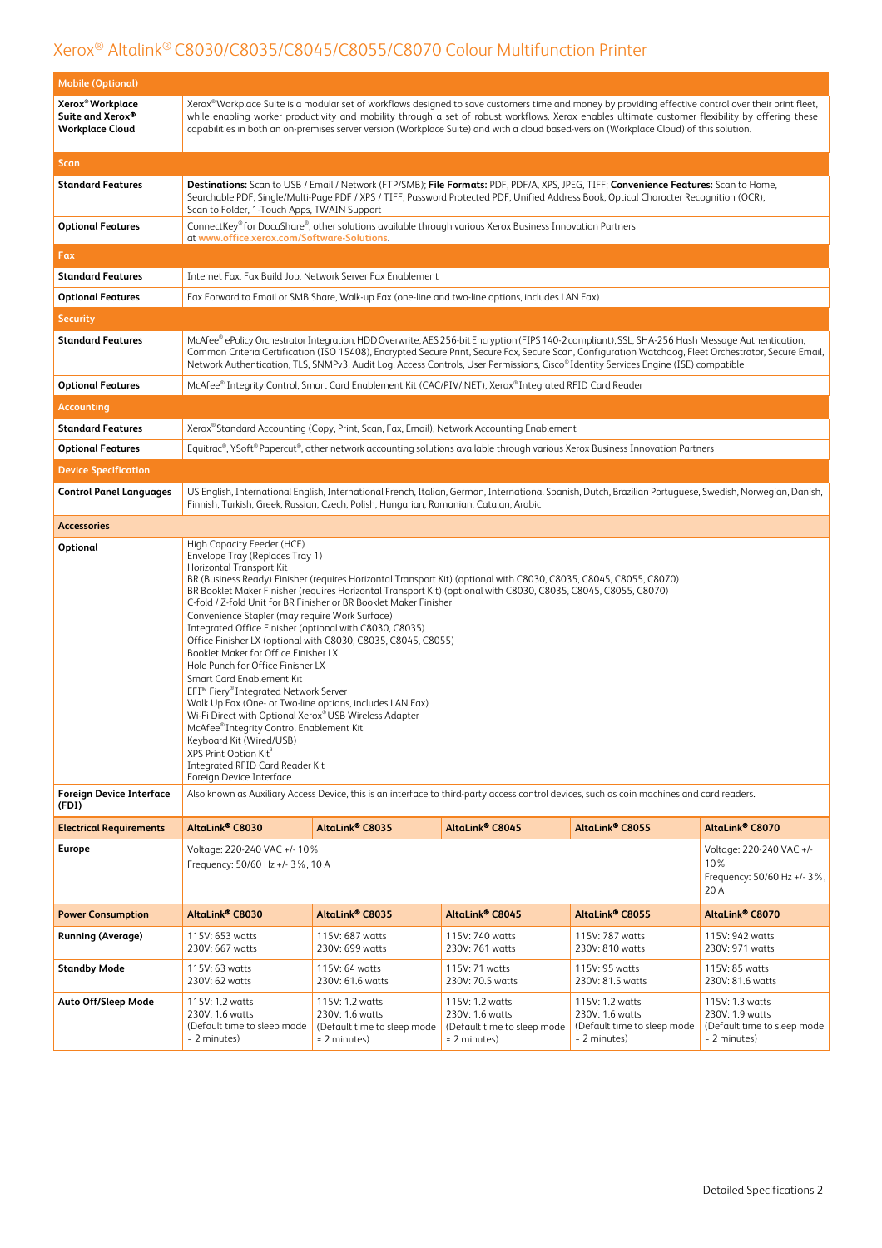| <b>Mobile (Optional)</b>                                                   |                                                                                                                                                                                                                                                                                                                                                                                                                                                                                                                                                                                                                                                                                                                                                                                                                                                                                                                                                                                                                                                        |                                                                                       |                                                                                                                                                                                                                                                                                                                                                                                                                                                   |                                                                                   |                                                                                   |
|----------------------------------------------------------------------------|--------------------------------------------------------------------------------------------------------------------------------------------------------------------------------------------------------------------------------------------------------------------------------------------------------------------------------------------------------------------------------------------------------------------------------------------------------------------------------------------------------------------------------------------------------------------------------------------------------------------------------------------------------------------------------------------------------------------------------------------------------------------------------------------------------------------------------------------------------------------------------------------------------------------------------------------------------------------------------------------------------------------------------------------------------|---------------------------------------------------------------------------------------|---------------------------------------------------------------------------------------------------------------------------------------------------------------------------------------------------------------------------------------------------------------------------------------------------------------------------------------------------------------------------------------------------------------------------------------------------|-----------------------------------------------------------------------------------|-----------------------------------------------------------------------------------|
| Xerox <sup>®</sup> Workplace<br>Suite and Xerox®<br><b>Workplace Cloud</b> | Xerox®Workplace Suite is a modular set of workflows designed to save customers time and money by providing effective control over their print fleet,<br>while enabling worker productivity and mobility through a set of robust workflows. Xerox enables ultimate customer flexibility by offering these<br>capabilities in both an on-premises server version (Workplace Suite) and with a cloud based-version (Workplace Cloud) of this solution.                                                                                                                                                                                                                                                                                                                                                                                                                                                                                                                                                                                                    |                                                                                       |                                                                                                                                                                                                                                                                                                                                                                                                                                                   |                                                                                   |                                                                                   |
| Scan                                                                       |                                                                                                                                                                                                                                                                                                                                                                                                                                                                                                                                                                                                                                                                                                                                                                                                                                                                                                                                                                                                                                                        |                                                                                       |                                                                                                                                                                                                                                                                                                                                                                                                                                                   |                                                                                   |                                                                                   |
| <b>Standard Features</b>                                                   | Scan to Folder, 1-Touch Apps, TWAIN Support                                                                                                                                                                                                                                                                                                                                                                                                                                                                                                                                                                                                                                                                                                                                                                                                                                                                                                                                                                                                            |                                                                                       | Destinations: Scan to USB / Email / Network (FTP/SMB); File Formats: PDF, PDF/A, XPS, JPEG, TIFF; Convenience Features: Scan to Home,<br>Searchable PDF, Single/Multi-Page PDF / XPS / TIFF, Password Protected PDF, Unified Address Book, Optical Character Recognition (OCR),                                                                                                                                                                   |                                                                                   |                                                                                   |
| <b>Optional Features</b>                                                   | at www.office.xerox.com/Software-Solutions.                                                                                                                                                                                                                                                                                                                                                                                                                                                                                                                                                                                                                                                                                                                                                                                                                                                                                                                                                                                                            |                                                                                       | ConnectKey® for DocuShare®, other solutions available through various Xerox Business Innovation Partners                                                                                                                                                                                                                                                                                                                                          |                                                                                   |                                                                                   |
| Fax                                                                        |                                                                                                                                                                                                                                                                                                                                                                                                                                                                                                                                                                                                                                                                                                                                                                                                                                                                                                                                                                                                                                                        |                                                                                       |                                                                                                                                                                                                                                                                                                                                                                                                                                                   |                                                                                   |                                                                                   |
| <b>Standard Features</b>                                                   |                                                                                                                                                                                                                                                                                                                                                                                                                                                                                                                                                                                                                                                                                                                                                                                                                                                                                                                                                                                                                                                        | Internet Fax, Fax Build Job, Network Server Fax Enablement                            |                                                                                                                                                                                                                                                                                                                                                                                                                                                   |                                                                                   |                                                                                   |
| <b>Optional Features</b>                                                   |                                                                                                                                                                                                                                                                                                                                                                                                                                                                                                                                                                                                                                                                                                                                                                                                                                                                                                                                                                                                                                                        |                                                                                       | Fax Forward to Email or SMB Share, Walk-up Fax (one-line and two-line options, includes LAN Fax)                                                                                                                                                                                                                                                                                                                                                  |                                                                                   |                                                                                   |
| <b>Security</b>                                                            |                                                                                                                                                                                                                                                                                                                                                                                                                                                                                                                                                                                                                                                                                                                                                                                                                                                                                                                                                                                                                                                        |                                                                                       |                                                                                                                                                                                                                                                                                                                                                                                                                                                   |                                                                                   |                                                                                   |
| <b>Standard Features</b>                                                   |                                                                                                                                                                                                                                                                                                                                                                                                                                                                                                                                                                                                                                                                                                                                                                                                                                                                                                                                                                                                                                                        |                                                                                       | McAfee® ePolicy Orchestrator Integration, HDD Overwrite, AES 256-bit Encryption (FIPS 140-2 compliant), SSL, SHA-256 Hash Message Authentication,<br>Common Criteria Certification (ISO 15408), Encrypted Secure Print, Secure Fax, Secure Scan, Configuration Watchdog, Fleet Orchestrator, Secure Email,<br>Network Authentication, TLS, SNMPv3, Audit Log, Access Controls, User Permissions, Cisco® Identity Services Engine (ISE) compatible |                                                                                   |                                                                                   |
| <b>Optional Features</b>                                                   |                                                                                                                                                                                                                                                                                                                                                                                                                                                                                                                                                                                                                                                                                                                                                                                                                                                                                                                                                                                                                                                        |                                                                                       | McAfee® Integrity Control, Smart Card Enablement Kit (CAC/PIV/.NET), Xerox® Integrated RFID Card Reader                                                                                                                                                                                                                                                                                                                                           |                                                                                   |                                                                                   |
| Accounting                                                                 |                                                                                                                                                                                                                                                                                                                                                                                                                                                                                                                                                                                                                                                                                                                                                                                                                                                                                                                                                                                                                                                        |                                                                                       |                                                                                                                                                                                                                                                                                                                                                                                                                                                   |                                                                                   |                                                                                   |
| <b>Standard Features</b>                                                   |                                                                                                                                                                                                                                                                                                                                                                                                                                                                                                                                                                                                                                                                                                                                                                                                                                                                                                                                                                                                                                                        |                                                                                       | Xerox®Standard Accounting (Copy, Print, Scan, Fax, Email), Network Accounting Enablement                                                                                                                                                                                                                                                                                                                                                          |                                                                                   |                                                                                   |
| <b>Optional Features</b>                                                   |                                                                                                                                                                                                                                                                                                                                                                                                                                                                                                                                                                                                                                                                                                                                                                                                                                                                                                                                                                                                                                                        |                                                                                       | Equitrac®, YSoft® Papercut®, other network accounting solutions available through various Xerox Business Innovation Partners                                                                                                                                                                                                                                                                                                                      |                                                                                   |                                                                                   |
| <b>Device Specification</b>                                                |                                                                                                                                                                                                                                                                                                                                                                                                                                                                                                                                                                                                                                                                                                                                                                                                                                                                                                                                                                                                                                                        |                                                                                       |                                                                                                                                                                                                                                                                                                                                                                                                                                                   |                                                                                   |                                                                                   |
| <b>Control Panel Languages</b>                                             |                                                                                                                                                                                                                                                                                                                                                                                                                                                                                                                                                                                                                                                                                                                                                                                                                                                                                                                                                                                                                                                        | Finnish, Turkish, Greek, Russian, Czech, Polish, Hungarian, Romanian, Catalan, Arabic | US English, International English, International French, Italian, German, International Spanish, Dutch, Brazilian Portuguese, Swedish, Norwegian, Danish,                                                                                                                                                                                                                                                                                         |                                                                                   |                                                                                   |
| <b>Accessories</b>                                                         |                                                                                                                                                                                                                                                                                                                                                                                                                                                                                                                                                                                                                                                                                                                                                                                                                                                                                                                                                                                                                                                        |                                                                                       |                                                                                                                                                                                                                                                                                                                                                                                                                                                   |                                                                                   |                                                                                   |
| Optional<br><b>Foreign Device Interface</b>                                | High Capacity Feeder (HCF)<br>Envelope Tray (Replaces Tray 1)<br>Horizontal Transport Kit<br>BR (Business Ready) Finisher (requires Horizontal Transport Kit) (optional with C8030, C8035, C8045, C8055, C8070)<br>BR Booklet Maker Finisher (requires Horizontal Transport Kit) (optional with C8030, C8035, C8045, C8055, C8070)<br>C-fold / Z-fold Unit for BR Finisher or BR Booklet Maker Finisher<br>Convenience Stapler (may require Work Surface)<br>Integrated Office Finisher (optional with C8030, C8035)<br>Office Finisher LX (optional with C8030, C8035, C8045, C8055)<br>Booklet Maker for Office Finisher LX<br>Hole Punch for Office Finisher LX<br>Smart Card Enablement Kit<br>EFI <sup>™</sup> Fiery® Integrated Network Server<br>Walk Up Fax (One- or Two-line options, includes LAN Fax)<br>Wi-Fi Direct with Optional Xerox® USB Wireless Adapter<br>McAfee® Integrity Control Enablement Kit<br>Keyboard Kit (Wired/USB)<br>XPS Print Option Kit <sup>3</sup><br>Integrated RFID Card Reader Kit<br>Foreign Device Interface |                                                                                       |                                                                                                                                                                                                                                                                                                                                                                                                                                                   |                                                                                   |                                                                                   |
| (FDI)                                                                      |                                                                                                                                                                                                                                                                                                                                                                                                                                                                                                                                                                                                                                                                                                                                                                                                                                                                                                                                                                                                                                                        |                                                                                       | Also known as Auxiliary Access Device, this is an interface to third-party access control devices, such as coin machines and card readers.                                                                                                                                                                                                                                                                                                        |                                                                                   |                                                                                   |
| <b>Electrical Requirements</b><br>Europe                                   | AltaLink <sup>®</sup> C8030                                                                                                                                                                                                                                                                                                                                                                                                                                                                                                                                                                                                                                                                                                                                                                                                                                                                                                                                                                                                                            | AltaLink <sup>®</sup> C8035                                                           | AltaLink <sup>®</sup> C8045                                                                                                                                                                                                                                                                                                                                                                                                                       | AltaLink <sup>®</sup> C8055                                                       | AltaLink® C8070                                                                   |
|                                                                            | Voltage: 220-240 VAC +/-10%<br>Frequency: 50/60 Hz +/- 3%, 10 A                                                                                                                                                                                                                                                                                                                                                                                                                                                                                                                                                                                                                                                                                                                                                                                                                                                                                                                                                                                        |                                                                                       |                                                                                                                                                                                                                                                                                                                                                                                                                                                   |                                                                                   | Voltage: 220-240 VAC +/-<br>10%<br>Frequency: 50/60 Hz +/- 3%,<br>20 A            |
| <b>Power Consumption</b>                                                   | AltaLink <sup>®</sup> C8030                                                                                                                                                                                                                                                                                                                                                                                                                                                                                                                                                                                                                                                                                                                                                                                                                                                                                                                                                                                                                            | AltaLink <sup>®</sup> C8035                                                           | AltaLink® C8045                                                                                                                                                                                                                                                                                                                                                                                                                                   | AltaLink® C8055                                                                   | AltaLink® C8070                                                                   |
| <b>Running (Average)</b>                                                   | 115V: 653 watts<br>230V: 667 watts                                                                                                                                                                                                                                                                                                                                                                                                                                                                                                                                                                                                                                                                                                                                                                                                                                                                                                                                                                                                                     | 115V: 687 watts<br>230V: 699 watts                                                    | 115V: 740 watts<br>230V: 761 watts                                                                                                                                                                                                                                                                                                                                                                                                                | 115V: 787 watts<br>230V: 810 watts                                                | 115V: 942 watts<br>230V: 971 watts                                                |
| <b>Standby Mode</b>                                                        | 115V: 63 watts<br>230V: 62 watts                                                                                                                                                                                                                                                                                                                                                                                                                                                                                                                                                                                                                                                                                                                                                                                                                                                                                                                                                                                                                       | 115V: 64 watts<br>230V: 61.6 watts                                                    | 115V: 71 watts<br>230V: 70.5 watts                                                                                                                                                                                                                                                                                                                                                                                                                | 115V: 95 watts<br>230V: 81.5 watts                                                | 115V: 85 watts<br>230V: 81.6 watts                                                |
| Auto Off/Sleep Mode                                                        | 115V: 1.2 watts<br>230V: 1.6 watts<br>(Default time to sleep mode<br>= 2 minutes)                                                                                                                                                                                                                                                                                                                                                                                                                                                                                                                                                                                                                                                                                                                                                                                                                                                                                                                                                                      | 115V: 1.2 watts<br>230V: 1.6 watts<br>(Default time to sleep mode<br>= 2 minutes)     | 115V: 1.2 watts<br>230V: 1.6 watts<br>(Default time to sleep mode<br>= 2 minutes)                                                                                                                                                                                                                                                                                                                                                                 | 115V: 1.2 watts<br>230V: 1.6 watts<br>(Default time to sleep mode<br>= 2 minutes) | 115V: 1.3 watts<br>230V: 1.9 watts<br>(Default time to sleep mode<br>= 2 minutes) |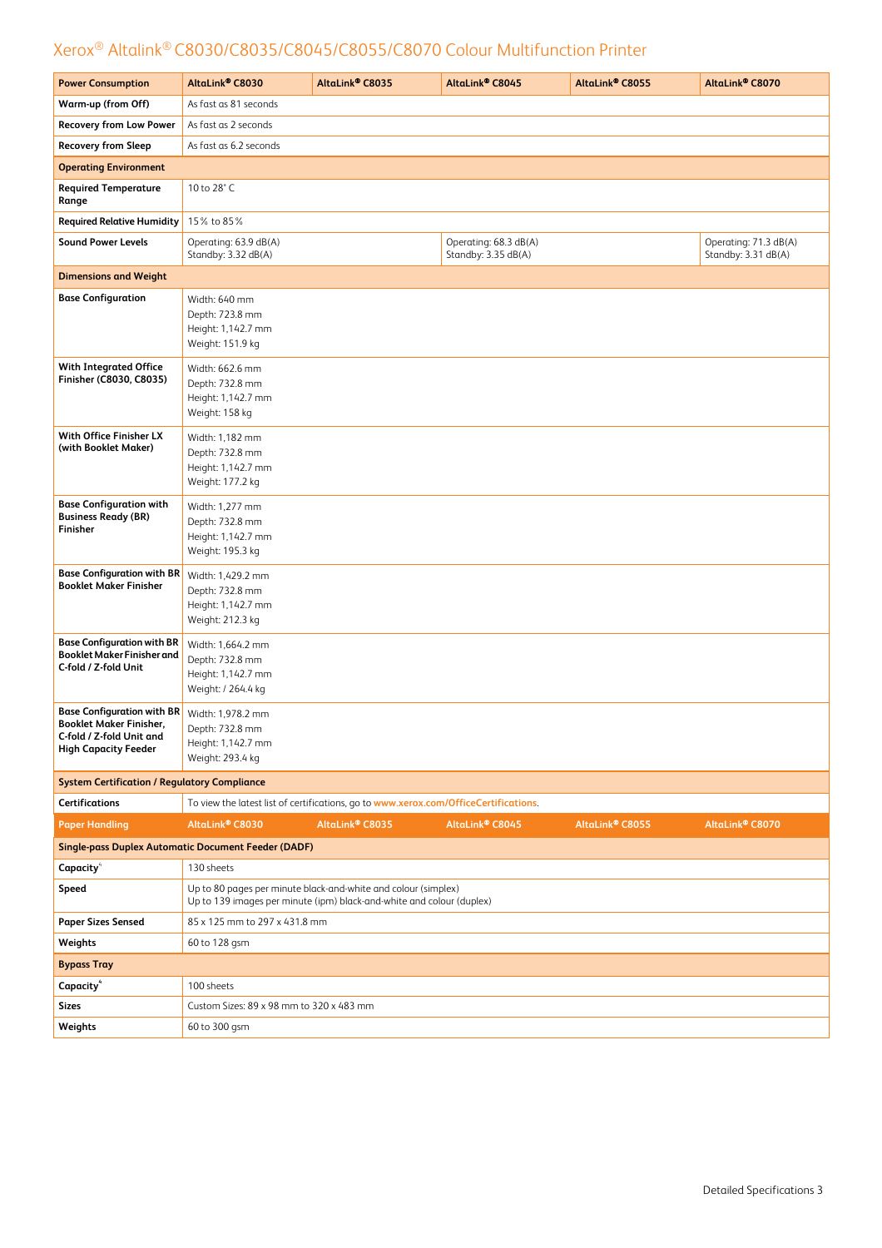| <b>Power Consumption</b>                                                                                                       | AltaLink® C8030                                                                                                                         | AltaLink® C8035                                                                      | AltaLink <sup>®</sup> C8045                  | AltaLink® C8055 | AltaLink® C8070                              |
|--------------------------------------------------------------------------------------------------------------------------------|-----------------------------------------------------------------------------------------------------------------------------------------|--------------------------------------------------------------------------------------|----------------------------------------------|-----------------|----------------------------------------------|
| Warm-up (from Off)                                                                                                             | As fast as 81 seconds                                                                                                                   |                                                                                      |                                              |                 |                                              |
| <b>Recovery from Low Power</b>                                                                                                 | As fast as 2 seconds                                                                                                                    |                                                                                      |                                              |                 |                                              |
| <b>Recovery from Sleep</b>                                                                                                     | As fast as 6.2 seconds                                                                                                                  |                                                                                      |                                              |                 |                                              |
| <b>Operating Environment</b>                                                                                                   |                                                                                                                                         |                                                                                      |                                              |                 |                                              |
| <b>Required Temperature</b><br>Range                                                                                           | 10 to 28° C                                                                                                                             |                                                                                      |                                              |                 |                                              |
| <b>Required Relative Humidity</b>                                                                                              | 15% to 85%                                                                                                                              |                                                                                      |                                              |                 |                                              |
| <b>Sound Power Levels</b>                                                                                                      | Operating: 63.9 dB(A)<br>Standby: 3.32 dB(A)                                                                                            |                                                                                      | Operating: 68.3 dB(A)<br>Standby: 3.35 dB(A) |                 | Operating: 71.3 dB(A)<br>Standby: 3.31 dB(A) |
| <b>Dimensions and Weight</b>                                                                                                   |                                                                                                                                         |                                                                                      |                                              |                 |                                              |
| <b>Base Configuration</b>                                                                                                      | Width: 640 mm<br>Depth: 723.8 mm<br>Height: 1,142.7 mm<br>Weight: 151.9 kg                                                              |                                                                                      |                                              |                 |                                              |
| <b>With Integrated Office</b><br>Finisher (C8030, C8035)                                                                       | Width: 662.6 mm<br>Depth: 732.8 mm<br>Height: 1,142.7 mm<br>Weight: 158 kg                                                              |                                                                                      |                                              |                 |                                              |
| With Office Finisher LX<br>(with Booklet Maker)                                                                                | Width: 1,182 mm<br>Depth: 732.8 mm<br>Height: 1,142.7 mm<br>Weight: 177.2 kg                                                            |                                                                                      |                                              |                 |                                              |
| <b>Base Configuration with</b><br><b>Business Ready (BR)</b><br>Finisher                                                       | Width: 1,277 mm<br>Depth: 732.8 mm<br>Height: 1,142.7 mm<br>Weight: 195.3 kg                                                            |                                                                                      |                                              |                 |                                              |
| <b>Base Configuration with BR</b><br><b>Booklet Maker Finisher</b>                                                             | Width: 1,429.2 mm<br>Depth: 732.8 mm<br>Height: 1,142.7 mm<br>Weight: 212.3 kg                                                          |                                                                                      |                                              |                 |                                              |
| <b>Base Configuration with BR</b><br><b>Booklet Maker Finisher and</b><br>C-fold / Z-fold Unit                                 | Width: 1,664.2 mm<br>Depth: 732.8 mm<br>Height: 1,142.7 mm<br>Weight: / 264.4 kg                                                        |                                                                                      |                                              |                 |                                              |
| <b>Base Configuration with BR</b><br><b>Booklet Maker Finisher.</b><br>C-fold / Z-fold Unit and<br><b>High Capacity Feeder</b> | Width: 1,978.2 mm<br>Depth: 732.8 mm<br>Height: 1,142.7 mm<br>Weight: 293.4 kg                                                          |                                                                                      |                                              |                 |                                              |
| <b>System Certification / Regulatory Compliance</b>                                                                            |                                                                                                                                         |                                                                                      |                                              |                 |                                              |
| <b>Certifications</b>                                                                                                          |                                                                                                                                         | To view the latest list of certifications, go to www.xerox.com/OfficeCertifications. |                                              |                 |                                              |
| <b>Paper Handling</b>                                                                                                          | AltaLink® C8030                                                                                                                         | AltaLink® C8035                                                                      | AltaLink® C8045                              | AltaLink® C8055 | AltaLink® C8070                              |
| <b>Single-pass Duplex Automatic Document Feeder (DADF)</b>                                                                     |                                                                                                                                         |                                                                                      |                                              |                 |                                              |
| Capacity <sup>4</sup>                                                                                                          | 130 sheets                                                                                                                              |                                                                                      |                                              |                 |                                              |
| Speed                                                                                                                          | Up to 80 pages per minute black-and-white and colour (simplex)<br>Up to 139 images per minute (ipm) black-and-white and colour (duplex) |                                                                                      |                                              |                 |                                              |
| <b>Paper Sizes Sensed</b>                                                                                                      | 85 x 125 mm to 297 x 431.8 mm                                                                                                           |                                                                                      |                                              |                 |                                              |
| Weights                                                                                                                        | 60 to 128 gsm                                                                                                                           |                                                                                      |                                              |                 |                                              |
| <b>Bypass Tray</b>                                                                                                             |                                                                                                                                         |                                                                                      |                                              |                 |                                              |
| Capacity <sup>4</sup>                                                                                                          | 100 sheets                                                                                                                              |                                                                                      |                                              |                 |                                              |
| <b>Sizes</b>                                                                                                                   | Custom Sizes: 89 x 98 mm to 320 x 483 mm                                                                                                |                                                                                      |                                              |                 |                                              |
| Weights                                                                                                                        | 60 to 300 gsm                                                                                                                           |                                                                                      |                                              |                 |                                              |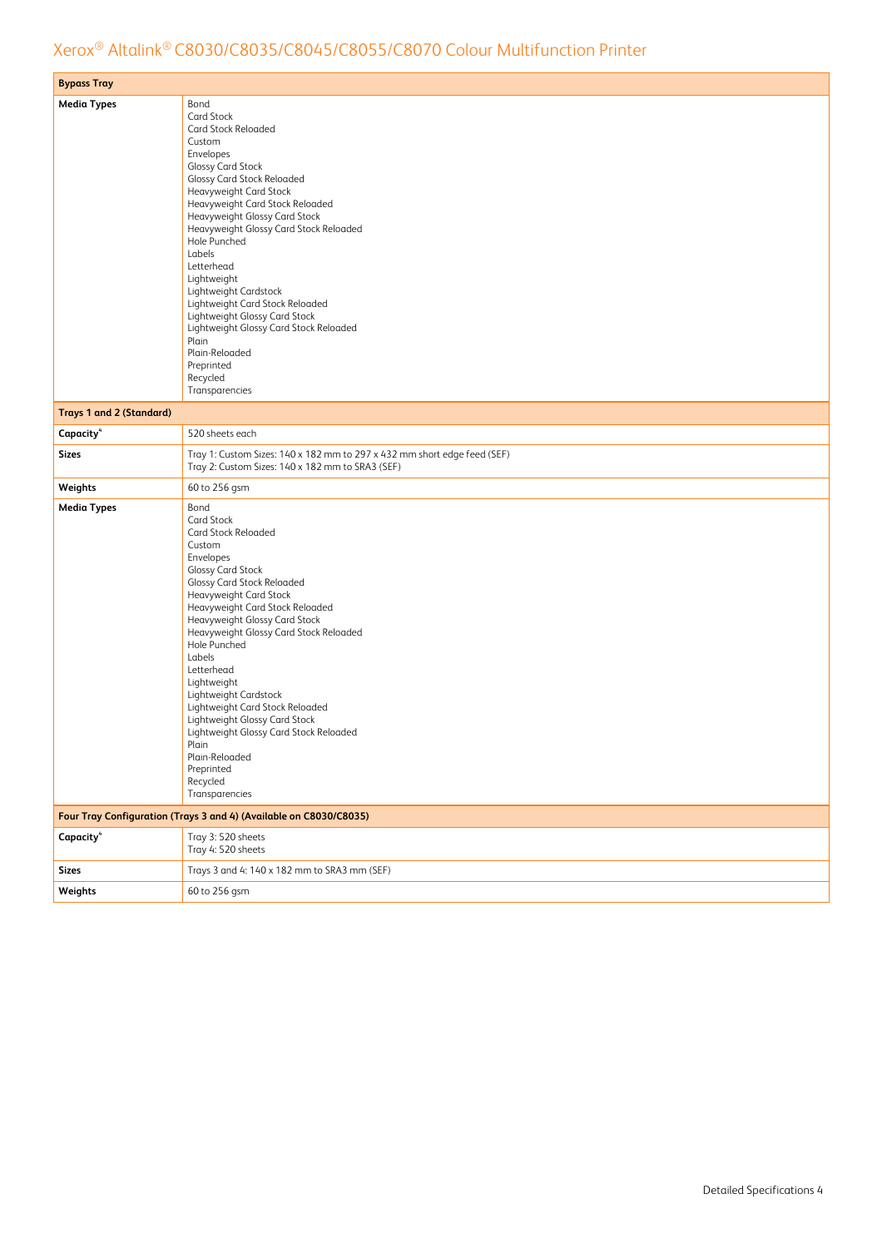| <b>Bypass Tray</b>              |                                                                                                                              |
|---------------------------------|------------------------------------------------------------------------------------------------------------------------------|
| <b>Media Types</b>              | Bond                                                                                                                         |
|                                 | <b>Card Stock</b>                                                                                                            |
|                                 | <b>Card Stock Reloaded</b>                                                                                                   |
|                                 | Custom                                                                                                                       |
|                                 | Envelopes                                                                                                                    |
|                                 | <b>Glossy Card Stock</b><br>Glossy Card Stock Reloaded                                                                       |
|                                 | Heavyweight Card Stock                                                                                                       |
|                                 | Heavyweight Card Stock Reloaded                                                                                              |
|                                 | Heavyweight Glossy Card Stock                                                                                                |
|                                 | Heavyweight Glossy Card Stock Reloaded                                                                                       |
|                                 | Hole Punched                                                                                                                 |
|                                 | Labels                                                                                                                       |
|                                 | Letterhead<br>Lightweight                                                                                                    |
|                                 | Lightweight Cardstock                                                                                                        |
|                                 | Lightweight Card Stock Reloaded                                                                                              |
|                                 | Lightweight Glossy Card Stock                                                                                                |
|                                 | Lightweight Glossy Card Stock Reloaded                                                                                       |
|                                 | Plain                                                                                                                        |
|                                 | Plain-Reloaded                                                                                                               |
|                                 | Preprinted<br>Recycled                                                                                                       |
|                                 | Transparencies                                                                                                               |
|                                 |                                                                                                                              |
| <b>Trays 1 and 2 (Standard)</b> |                                                                                                                              |
| Capacity <sup>4</sup>           | 520 sheets each                                                                                                              |
| <b>Sizes</b>                    | Tray 1: Custom Sizes: 140 x 182 mm to 297 x 432 mm short edge feed (SEF)<br>Tray 2: Custom Sizes: 140 x 182 mm to SRA3 (SEF) |
| Weights                         | 60 to 256 gsm                                                                                                                |
| <b>Media Types</b>              | Bond                                                                                                                         |
|                                 | <b>Card Stock</b>                                                                                                            |
|                                 | Card Stock Reloaded                                                                                                          |
|                                 | Custom<br>Envelopes                                                                                                          |
|                                 | Glossy Card Stock                                                                                                            |
|                                 | Glossy Card Stock Reloaded                                                                                                   |
|                                 | Heavyweight Card Stock                                                                                                       |
|                                 | Heavyweight Card Stock Reloaded                                                                                              |
|                                 | Heavyweight Glossy Card Stock                                                                                                |
|                                 | Heavyweight Glossy Card Stock Reloaded                                                                                       |
|                                 | Hole Punched<br>Labels                                                                                                       |
|                                 | Letterhead                                                                                                                   |
|                                 | Lightweight                                                                                                                  |
|                                 | Lightweight Cardstock                                                                                                        |
|                                 | Lightweight Card Stock Reloaded                                                                                              |
|                                 | Lightweight Glossy Card Stock                                                                                                |
|                                 | Lightweight Glossy Card Stock Reloaded                                                                                       |
|                                 | Plain<br>Plain-Reloaded                                                                                                      |
|                                 | Preprinted                                                                                                                   |
|                                 | Recycled                                                                                                                     |
|                                 | Transparencies                                                                                                               |
|                                 | Four Tray Configuration (Trays 3 and 4) (Available on C8030/C8035)                                                           |
| Capacity <sup>4</sup>           | Tray 3: 520 sheets                                                                                                           |
|                                 | Tray 4: 520 sheets                                                                                                           |
| <b>Sizes</b>                    | Trays 3 and 4: 140 x 182 mm to SRA3 mm (SEF)                                                                                 |
| Weights                         | 60 to 256 gsm                                                                                                                |
|                                 |                                                                                                                              |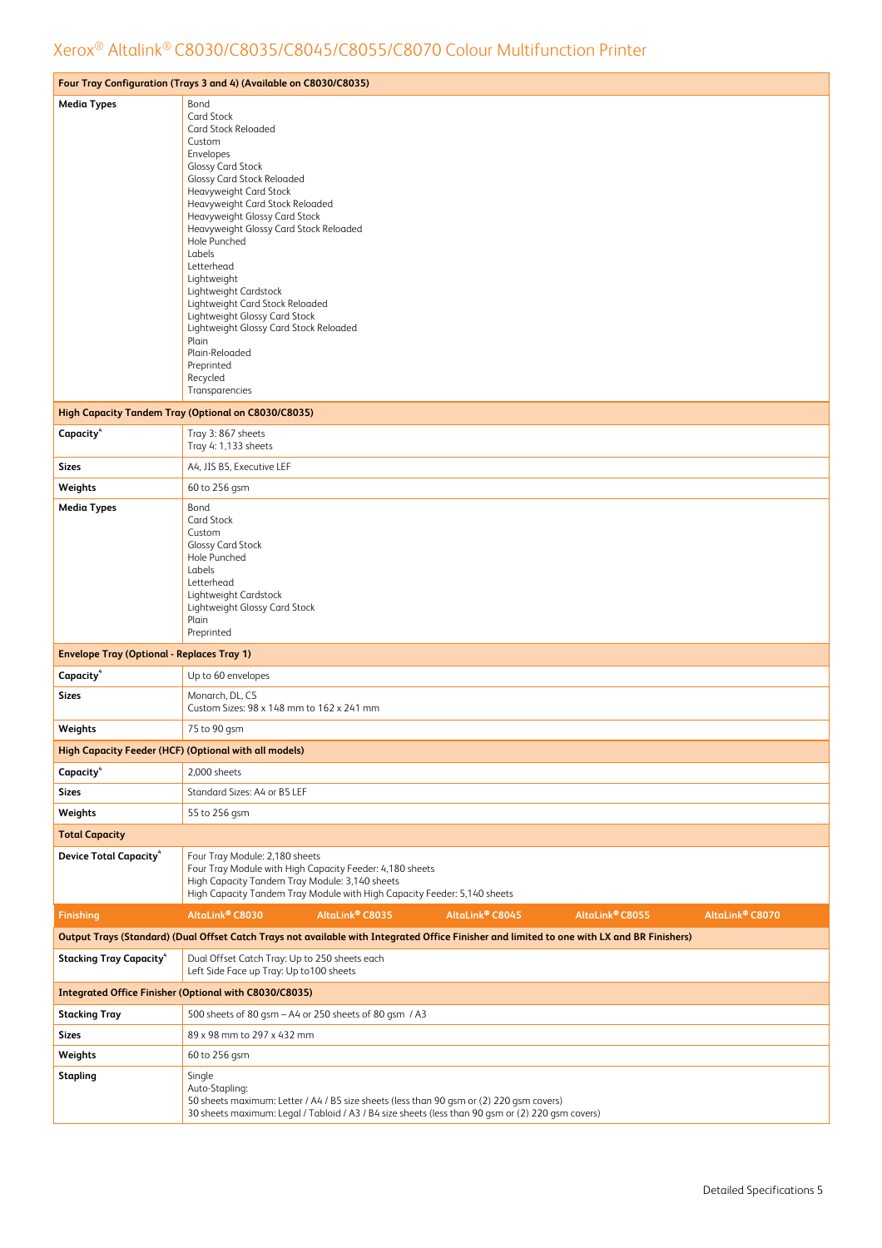|                                                       | Four Tray Configuration (Trays 3 and 4) (Available on C8030/C8035)                                                                                                                                                                                                                                                                                                                                                                                                                                                                      |
|-------------------------------------------------------|-----------------------------------------------------------------------------------------------------------------------------------------------------------------------------------------------------------------------------------------------------------------------------------------------------------------------------------------------------------------------------------------------------------------------------------------------------------------------------------------------------------------------------------------|
| <b>Media Types</b>                                    | Bond<br>Card Stock<br>Card Stock Reloaded<br>Custom<br>Envelopes<br><b>Glossy Card Stock</b><br>Glossy Card Stock Reloaded<br>Heavyweight Card Stock<br>Heavyweight Card Stock Reloaded<br>Heavyweight Glossy Card Stock<br>Heavyweight Glossy Card Stock Reloaded<br>Hole Punched<br>Labels<br>Letterhead<br>Lightweight<br>Lightweight Cardstock<br>Lightweight Card Stock Reloaded<br>Lightweight Glossy Card Stock<br>Lightweight Glossy Card Stock Reloaded<br>Plain<br>Plain-Reloaded<br>Preprinted<br>Recycled<br>Transparencies |
|                                                       | <b>High Capacity Tandem Tray (Optional on C8030/C8035)</b>                                                                                                                                                                                                                                                                                                                                                                                                                                                                              |
| Capacity <sup>4</sup>                                 | Tray 3:867 sheets<br>Tray 4: 1,133 sheets                                                                                                                                                                                                                                                                                                                                                                                                                                                                                               |
| <b>Sizes</b>                                          | A4, JIS B5, Executive LEF                                                                                                                                                                                                                                                                                                                                                                                                                                                                                                               |
| Weights                                               | 60 to 256 gsm                                                                                                                                                                                                                                                                                                                                                                                                                                                                                                                           |
| <b>Media Types</b>                                    | Bond<br>Card Stock<br>Custom<br><b>Glossy Card Stock</b><br>Hole Punched<br>Labels<br>Letterhead<br>Lightweight Cardstock<br>Lightweight Glossy Card Stock<br>Plain<br>Preprinted                                                                                                                                                                                                                                                                                                                                                       |
| <b>Envelope Tray (Optional - Replaces Tray 1)</b>     |                                                                                                                                                                                                                                                                                                                                                                                                                                                                                                                                         |
| Capacity <sup>4</sup>                                 | Up to 60 envelopes                                                                                                                                                                                                                                                                                                                                                                                                                                                                                                                      |
| <b>Sizes</b>                                          | Monarch, DL, C5<br>Custom Sizes: 98 x 148 mm to 162 x 241 mm                                                                                                                                                                                                                                                                                                                                                                                                                                                                            |
| Weights                                               | 75 to 90 gsm                                                                                                                                                                                                                                                                                                                                                                                                                                                                                                                            |
| High Capacity Feeder (HCF) (Optional with all models) |                                                                                                                                                                                                                                                                                                                                                                                                                                                                                                                                         |
| Capacity <sup>4</sup>                                 | 2,000 sheets                                                                                                                                                                                                                                                                                                                                                                                                                                                                                                                            |
| <b>Sizes</b>                                          | Standard Sizes: A4 or B5 LEF                                                                                                                                                                                                                                                                                                                                                                                                                                                                                                            |
| Weights                                               | 55 to 256 gsm                                                                                                                                                                                                                                                                                                                                                                                                                                                                                                                           |
| <b>Total Capacity</b>                                 |                                                                                                                                                                                                                                                                                                                                                                                                                                                                                                                                         |
| <b>Device Total Capacity</b> <sup>4</sup>             | Four Tray Module: 2,180 sheets<br>Four Tray Module with High Capacity Feeder: 4,180 sheets<br>High Capacity Tandem Tray Module: 3,140 sheets<br>High Capacity Tandem Tray Module with High Capacity Feeder: 5,140 sheets                                                                                                                                                                                                                                                                                                                |
| <b>Finishing</b>                                      | AltaLink® C8030<br>AltaLink® C8035<br>AltaLink® C8055<br>AltaLink® C8070<br>AltaLink® C8045                                                                                                                                                                                                                                                                                                                                                                                                                                             |
|                                                       | Output Trays (Standard) (Dual Offset Catch Trays not available with Integrated Office Finisher and limited to one with LX and BR Finishers)                                                                                                                                                                                                                                                                                                                                                                                             |
| <b>Stacking Tray Capacity</b> <sup>4</sup>            | Dual Offset Catch Tray: Up to 250 sheets each<br>Left Side Face up Tray: Up to 100 sheets                                                                                                                                                                                                                                                                                                                                                                                                                                               |
|                                                       | <b>Integrated Office Finisher (Optional with C8030/C8035)</b>                                                                                                                                                                                                                                                                                                                                                                                                                                                                           |
| <b>Stacking Tray</b>                                  | 500 sheets of 80 gsm - A4 or 250 sheets of 80 gsm / A3                                                                                                                                                                                                                                                                                                                                                                                                                                                                                  |
| <b>Sizes</b>                                          | 89 x 98 mm to 297 x 432 mm                                                                                                                                                                                                                                                                                                                                                                                                                                                                                                              |
| Weights                                               | 60 to 256 gsm                                                                                                                                                                                                                                                                                                                                                                                                                                                                                                                           |
| <b>Stapling</b>                                       | Single<br>Auto-Stapling:<br>50 sheets maximum: Letter / A4 / B5 size sheets (less than 90 gsm or (2) 220 gsm covers)<br>30 sheets maximum: Legal / Tabloid / A3 / B4 size sheets (less than 90 gsm or (2) 220 gsm covers)                                                                                                                                                                                                                                                                                                               |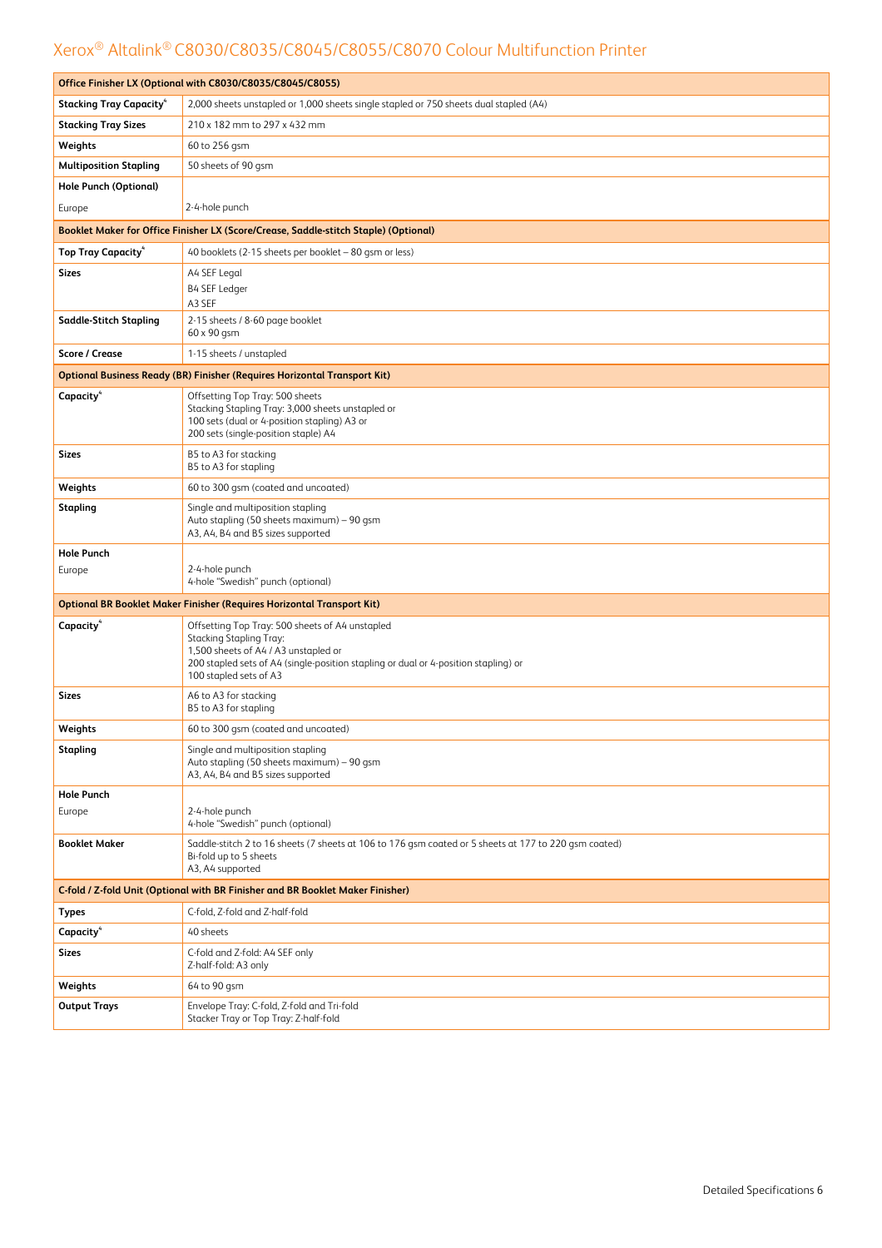|                                                                                | Office Finisher LX (Optional with C8030/C8035/C8045/C8055)                                                                                                                                                                                 |  |  |  |  |
|--------------------------------------------------------------------------------|--------------------------------------------------------------------------------------------------------------------------------------------------------------------------------------------------------------------------------------------|--|--|--|--|
| <b>Stacking Tray Capacity</b>                                                  | 2,000 sheets unstapled or 1,000 sheets single stapled or 750 sheets dual stapled (A4)                                                                                                                                                      |  |  |  |  |
| <b>Stacking Tray Sizes</b>                                                     | 210 x 182 mm to 297 x 432 mm                                                                                                                                                                                                               |  |  |  |  |
| Weights                                                                        | 60 to 256 gsm                                                                                                                                                                                                                              |  |  |  |  |
| <b>Multiposition Stapling</b>                                                  | 50 sheets of 90 gsm                                                                                                                                                                                                                        |  |  |  |  |
| <b>Hole Punch (Optional)</b>                                                   |                                                                                                                                                                                                                                            |  |  |  |  |
| Europe                                                                         | 2-4-hole punch                                                                                                                                                                                                                             |  |  |  |  |
|                                                                                | Booklet Maker for Office Finisher LX (Score/Crease, Saddle-stitch Staple) (Optional)                                                                                                                                                       |  |  |  |  |
| <b>Top Tray Capacity</b> <sup>4</sup>                                          | 40 booklets (2-15 sheets per booklet - 80 gsm or less)                                                                                                                                                                                     |  |  |  |  |
| <b>Sizes</b>                                                                   | A4 SEF Legal<br>B4 SEF Ledger<br>A3 SEF                                                                                                                                                                                                    |  |  |  |  |
| <b>Saddle-Stitch Stapling</b>                                                  | 2-15 sheets / 8-60 page booklet<br>60 x 90 gsm                                                                                                                                                                                             |  |  |  |  |
| <b>Score / Crease</b>                                                          | 1-15 sheets / unstapled                                                                                                                                                                                                                    |  |  |  |  |
|                                                                                | <b>Optional Business Ready (BR) Finisher (Requires Horizontal Transport Kit)</b>                                                                                                                                                           |  |  |  |  |
| Capacity <sup>4</sup>                                                          | Offsetting Top Tray: 500 sheets<br>Stacking Stapling Tray: 3,000 sheets unstapled or<br>100 sets (dual or 4-position stapling) A3 or<br>200 sets (single-position staple) A4                                                               |  |  |  |  |
| Sizes                                                                          | B5 to A3 for stacking<br>B5 to A3 for stapling                                                                                                                                                                                             |  |  |  |  |
| Weights                                                                        | 60 to 300 gsm (coated and uncoated)                                                                                                                                                                                                        |  |  |  |  |
| <b>Stapling</b>                                                                | Single and multiposition stapling<br>Auto stapling (50 sheets maximum) - 90 gsm<br>A3, A4, B4 and B5 sizes supported                                                                                                                       |  |  |  |  |
| <b>Hole Punch</b>                                                              |                                                                                                                                                                                                                                            |  |  |  |  |
| Europe                                                                         | 2-4-hole punch<br>4-hole "Swedish" punch (optional)                                                                                                                                                                                        |  |  |  |  |
|                                                                                | <b>Optional BR Booklet Maker Finisher (Requires Horizontal Transport Kit)</b>                                                                                                                                                              |  |  |  |  |
| Capacity <sup>4</sup>                                                          | Offsetting Top Tray: 500 sheets of A4 unstapled<br><b>Stacking Stapling Tray:</b><br>1,500 sheets of A4 / A3 unstapled or<br>200 stapled sets of A4 (single-position stapling or dual or 4-position stapling) or<br>100 stapled sets of A3 |  |  |  |  |
| Sizes                                                                          | A6 to A3 for stacking<br>B5 to A3 for stapling                                                                                                                                                                                             |  |  |  |  |
| Weights                                                                        | 60 to 300 gsm (coated and uncoated)                                                                                                                                                                                                        |  |  |  |  |
| <b>Stapling</b>                                                                | Single and multiposition stapling<br>Auto stapling (50 sheets maximum) - 90 gsm<br>A3, A4, B4 and B5 sizes supported                                                                                                                       |  |  |  |  |
| <b>Hole Punch</b>                                                              |                                                                                                                                                                                                                                            |  |  |  |  |
| Europe                                                                         | 2-4-hole punch<br>4-hole "Swedish" punch (optional)                                                                                                                                                                                        |  |  |  |  |
| <b>Booklet Maker</b>                                                           | Saddle-stitch 2 to 16 sheets (7 sheets at 106 to 176 gsm coated or 5 sheets at 177 to 220 gsm coated)<br>Bi-fold up to 5 sheets<br>A3, A4 supported                                                                                        |  |  |  |  |
| C-fold / Z-fold Unit (Optional with BR Finisher and BR Booklet Maker Finisher) |                                                                                                                                                                                                                                            |  |  |  |  |
| Types                                                                          | C-fold, Z-fold and Z-half-fold                                                                                                                                                                                                             |  |  |  |  |
| Capacity <sup>4</sup>                                                          | 40 sheets                                                                                                                                                                                                                                  |  |  |  |  |
| <b>Sizes</b>                                                                   | C-fold and Z-fold: A4 SEF only<br>Z-half-fold: A3 only                                                                                                                                                                                     |  |  |  |  |
| Weights                                                                        | 64 to 90 gsm                                                                                                                                                                                                                               |  |  |  |  |
| <b>Output Trays</b>                                                            | Envelope Tray: C-fold, Z-fold and Tri-fold<br>Stacker Tray or Top Tray: Z-half-fold                                                                                                                                                        |  |  |  |  |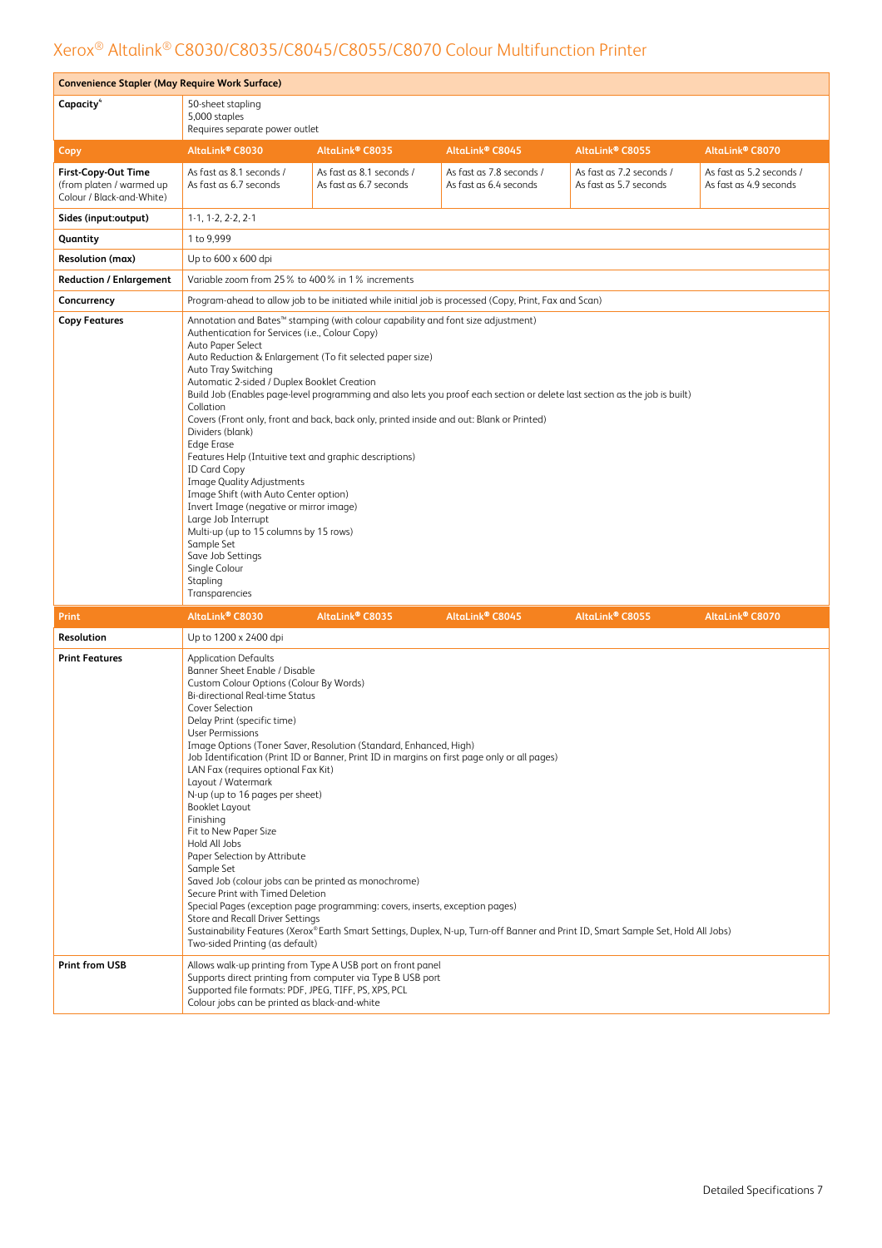| <b>Convenience Stapler (May Require Work Surface)</b>                               |                                                                                                                                                                                                                                                                                                                                                                                                                                                                                                                                                                                                                                                                                                                                                                                                                                                                                                                                                      |                                                                                                                                                                                                                                                   |                                                                                                       |                                                                                                                                   |                                                    |  |  |  |
|-------------------------------------------------------------------------------------|------------------------------------------------------------------------------------------------------------------------------------------------------------------------------------------------------------------------------------------------------------------------------------------------------------------------------------------------------------------------------------------------------------------------------------------------------------------------------------------------------------------------------------------------------------------------------------------------------------------------------------------------------------------------------------------------------------------------------------------------------------------------------------------------------------------------------------------------------------------------------------------------------------------------------------------------------|---------------------------------------------------------------------------------------------------------------------------------------------------------------------------------------------------------------------------------------------------|-------------------------------------------------------------------------------------------------------|-----------------------------------------------------------------------------------------------------------------------------------|----------------------------------------------------|--|--|--|
| Capacity <sup>4</sup>                                                               | 50-sheet stapling<br>5,000 staples<br>Requires separate power outlet                                                                                                                                                                                                                                                                                                                                                                                                                                                                                                                                                                                                                                                                                                                                                                                                                                                                                 |                                                                                                                                                                                                                                                   |                                                                                                       |                                                                                                                                   |                                                    |  |  |  |
| Copy                                                                                | AltaLink® C8070<br>AltaLink® C8030<br>AltaLink® C8035<br>AltaLink® C8045<br>AltaLink® C8055                                                                                                                                                                                                                                                                                                                                                                                                                                                                                                                                                                                                                                                                                                                                                                                                                                                          |                                                                                                                                                                                                                                                   |                                                                                                       |                                                                                                                                   |                                                    |  |  |  |
| <b>First-Copy-Out Time</b><br>(from platen / warmed up<br>Colour / Black-and-White) | As fast as 8.1 seconds /<br>As fast as 6.7 seconds                                                                                                                                                                                                                                                                                                                                                                                                                                                                                                                                                                                                                                                                                                                                                                                                                                                                                                   | As fast as 8.1 seconds /<br>As fast as 6.7 seconds                                                                                                                                                                                                | As fast as 7.8 seconds /<br>As fast as 6.4 seconds                                                    | As fast as 7.2 seconds /<br>As fast as 5.7 seconds                                                                                | As fast as 5.2 seconds /<br>As fast as 4.9 seconds |  |  |  |
| Sides (input:output)                                                                | $1-1, 1-2, 2-2, 2-1$                                                                                                                                                                                                                                                                                                                                                                                                                                                                                                                                                                                                                                                                                                                                                                                                                                                                                                                                 |                                                                                                                                                                                                                                                   |                                                                                                       |                                                                                                                                   |                                                    |  |  |  |
| Quantity                                                                            | 1 to 9.999                                                                                                                                                                                                                                                                                                                                                                                                                                                                                                                                                                                                                                                                                                                                                                                                                                                                                                                                           |                                                                                                                                                                                                                                                   |                                                                                                       |                                                                                                                                   |                                                    |  |  |  |
| <b>Resolution (max)</b>                                                             | Up to 600 x 600 dpi                                                                                                                                                                                                                                                                                                                                                                                                                                                                                                                                                                                                                                                                                                                                                                                                                                                                                                                                  |                                                                                                                                                                                                                                                   |                                                                                                       |                                                                                                                                   |                                                    |  |  |  |
| <b>Reduction / Enlargement</b>                                                      | Variable zoom from 25% to 400% in 1% increments                                                                                                                                                                                                                                                                                                                                                                                                                                                                                                                                                                                                                                                                                                                                                                                                                                                                                                      |                                                                                                                                                                                                                                                   |                                                                                                       |                                                                                                                                   |                                                    |  |  |  |
| Concurrency                                                                         |                                                                                                                                                                                                                                                                                                                                                                                                                                                                                                                                                                                                                                                                                                                                                                                                                                                                                                                                                      |                                                                                                                                                                                                                                                   | Program-ahead to allow job to be initiated while initial job is processed (Copy, Print, Fax and Scan) |                                                                                                                                   |                                                    |  |  |  |
| <b>Copy Features</b>                                                                | Annotation and Bates <sup>™</sup> stamping (with colour capability and font size adjustment)<br>Authentication for Services (i.e., Colour Copy)<br>Auto Paper Select<br>Auto Reduction & Enlargement (To fit selected paper size)<br>Auto Tray Switching<br>Automatic 2-sided / Duplex Booklet Creation<br>Build Job (Enables page-level programming and also lets you proof each section or delete last section as the job is built)<br>Collation<br>Covers (Front only, front and back, back only, printed inside and out: Blank or Printed)<br>Dividers (blank)<br><b>Edge Erase</b><br>Features Help (Intuitive text and graphic descriptions)<br><b>ID Card Copy</b><br><b>Image Quality Adjustments</b><br>Image Shift (with Auto Center option)<br>Invert Image (negative or mirror image)<br>Large Job Interrupt<br>Multi-up (up to 15 columns by 15 rows)<br>Sample Set<br>Save Job Settings<br>Single Colour<br>Stapling<br>Transparencies |                                                                                                                                                                                                                                                   |                                                                                                       |                                                                                                                                   |                                                    |  |  |  |
| <b>Print</b>                                                                        | AltaLink® C8030                                                                                                                                                                                                                                                                                                                                                                                                                                                                                                                                                                                                                                                                                                                                                                                                                                                                                                                                      | AltaLink® C8035                                                                                                                                                                                                                                   | AltaLink® C8045                                                                                       | AltaLink® C8055                                                                                                                   | AltaLink® C8070                                    |  |  |  |
| Resolution                                                                          | Up to 1200 x 2400 dpi                                                                                                                                                                                                                                                                                                                                                                                                                                                                                                                                                                                                                                                                                                                                                                                                                                                                                                                                |                                                                                                                                                                                                                                                   |                                                                                                       |                                                                                                                                   |                                                    |  |  |  |
| <b>Print Features</b>                                                               | <b>Application Defaults</b><br>Banner Sheet Enable / Disable<br>Custom Colour Options (Colour By Words)<br><b>Bi-directional Real-time Status</b><br>Cover Selection<br>Delay Print (specific time)<br>User Permissions<br>LAN Fax (requires optional Fax Kit)<br>Layout / Watermark<br>N-up (up to 16 pages per sheet)<br><b>Booklet Layout</b><br>Finishing<br>Fit to New Paper Size<br>Hold All Jobs<br>Paper Selection by Attribute<br>Sample Set<br>Saved Job (colour jobs can be printed as monochrome)<br>Secure Print with Timed Deletion<br>Store and Recall Driver Settings<br>Two-sided Printing (as default)                                                                                                                                                                                                                                                                                                                             | Image Options (Toner Saver, Resolution (Standard, Enhanced, High)<br>Job Identification (Print ID or Banner, Print ID in margins on first page only or all pages)<br>Special Pages (exception page programming: covers, inserts, exception pages) |                                                                                                       | Sustainability Features (Xerox®Earth Smart Settings, Duplex, N-up, Turn-off Banner and Print ID, Smart Sample Set, Hold All Jobs) |                                                    |  |  |  |
| <b>Print from USB</b>                                                               | Supported file formats: PDF, JPEG, TIFF, PS, XPS, PCL<br>Colour jobs can be printed as black-and-white                                                                                                                                                                                                                                                                                                                                                                                                                                                                                                                                                                                                                                                                                                                                                                                                                                               | Allows walk-up printing from Type A USB port on front panel<br>Supports direct printing from computer via Type B USB port                                                                                                                         |                                                                                                       |                                                                                                                                   |                                                    |  |  |  |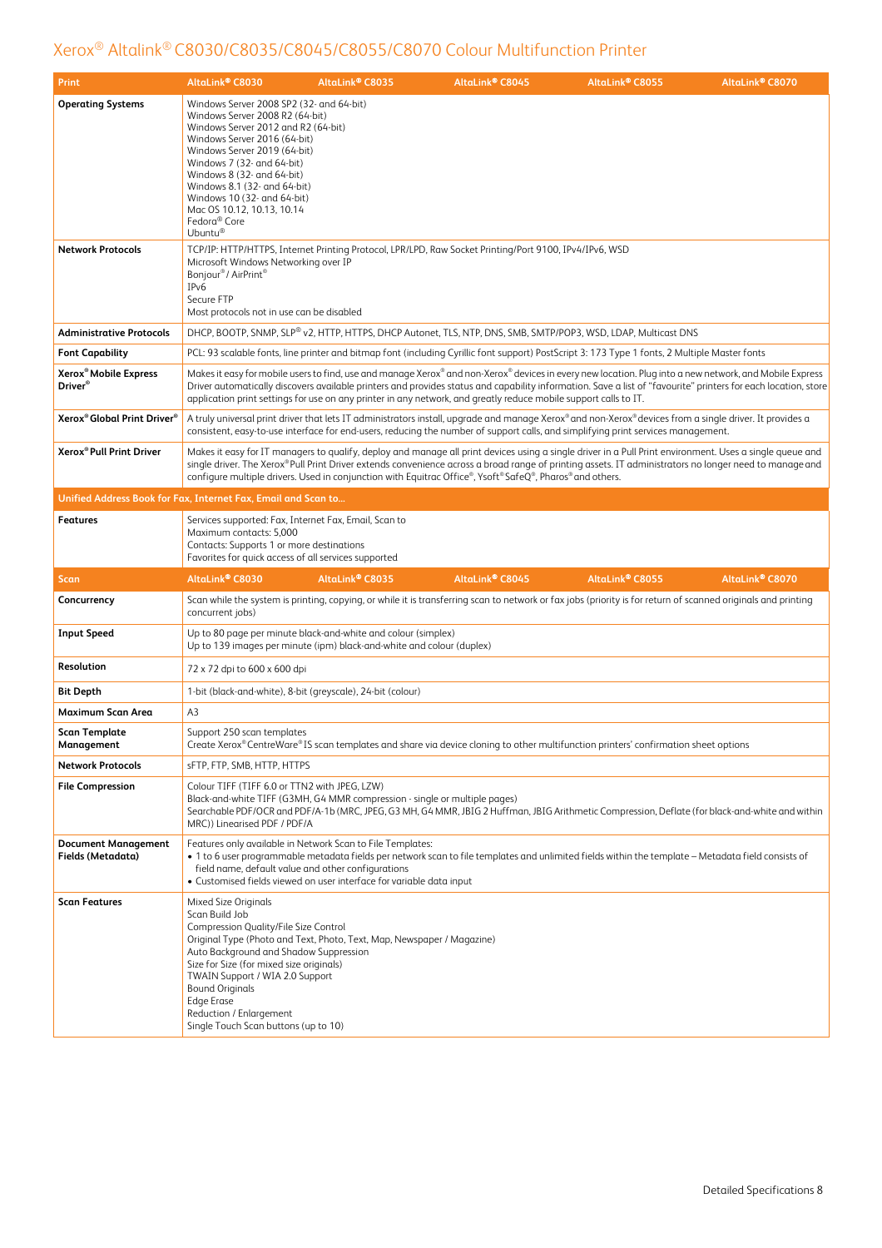| Print                                                         | AltaLink® C8030                                                                                                                                                                                                                                                                                                                                                        | AltaLink® C8035                                                                                                                                                                          | AltaLink® C8045                                                                                                  | AltaLink® C8055                                                                                                                                                                                                                                                                                                           | AltaLink® C8070 |
|---------------------------------------------------------------|------------------------------------------------------------------------------------------------------------------------------------------------------------------------------------------------------------------------------------------------------------------------------------------------------------------------------------------------------------------------|------------------------------------------------------------------------------------------------------------------------------------------------------------------------------------------|------------------------------------------------------------------------------------------------------------------|---------------------------------------------------------------------------------------------------------------------------------------------------------------------------------------------------------------------------------------------------------------------------------------------------------------------------|-----------------|
| <b>Operating Systems</b>                                      | Windows Server 2008 SP2 (32- and 64-bit)<br>Windows Server 2008 R2 (64-bit)<br>Windows Server 2012 and R2 (64-bit)<br>Windows Server 2016 (64-bit)<br>Windows Server 2019 (64-bit)<br>Windows 7 (32- and 64-bit)<br>Windows 8 (32- and 64-bit)<br>Windows 8.1 (32- and 64-bit)<br>Windows 10 (32- and 64-bit)<br>Mac OS 10.12, 10.13, 10.14<br>Fedora® Core<br>Ubuntu® |                                                                                                                                                                                          |                                                                                                                  |                                                                                                                                                                                                                                                                                                                           |                 |
| <b>Network Protocols</b>                                      | Microsoft Windows Networking over IP<br>Bonjour <sup>®</sup> / AirPrint <sup>®</sup><br>IP <sub>v</sub> 6<br>Secure FTP<br>Most protocols not in use can be disabled                                                                                                                                                                                                   |                                                                                                                                                                                          | TCP/IP: HTTP/HTTPS, Internet Printing Protocol, LPR/LPD, Raw Socket Printing/Port 9100, IPv4/IPv6, WSD           |                                                                                                                                                                                                                                                                                                                           |                 |
| <b>Administrative Protocols</b>                               |                                                                                                                                                                                                                                                                                                                                                                        |                                                                                                                                                                                          |                                                                                                                  | DHCP, BOOTP, SNMP, SLP® v2, HTTP, HTTPS, DHCP Autonet, TLS, NTP, DNS, SMB, SMTP/POP3, WSD, LDAP, Multicast DNS                                                                                                                                                                                                            |                 |
| <b>Font Capability</b>                                        |                                                                                                                                                                                                                                                                                                                                                                        |                                                                                                                                                                                          |                                                                                                                  | PCL: 93 scalable fonts, line printer and bitmap font (including Cyrillic font support) PostScript 3: 173 Type 1 fonts, 2 Multiple Master fonts                                                                                                                                                                            |                 |
| Xerox <sup>®</sup> Mobile Express<br>Driver <sup>®</sup>      |                                                                                                                                                                                                                                                                                                                                                                        |                                                                                                                                                                                          | application print settings for use on any printer in any network, and greatly reduce mobile support calls to IT. | Makes it easy for mobile users to find, use and manage Xerox® and non-Xerox® devices in every new location. Plug into a new network, and Mobile Express<br>Driver automatically discovers available printers and provides status and capability information. Save a list of "favourite" printers for each location, store |                 |
| Xerox <sup>®</sup> Global Print Driver <sup>®</sup>           |                                                                                                                                                                                                                                                                                                                                                                        |                                                                                                                                                                                          |                                                                                                                  | A truly universal print driver that lets IT administrators install, upgrade and manage Xerox® and non-Xerox® devices from a single driver. It provides a<br>consistent, easy-to-use interface for end-users, reducing the number of support calls, and simplifying print services management.                             |                 |
| Xerox® Pull Print Driver                                      |                                                                                                                                                                                                                                                                                                                                                                        |                                                                                                                                                                                          | configure multiple drivers. Used in conjunction with Equitrac Office®, Ysoft® SafeQ®, Pharos® and others.        | Makes it easy for IT managers to qualify, deploy and manage all print devices using a single driver in a Pull Print environment. Uses a single queue and<br>single driver. The Xerox® Pull Print Driver extends convenience across a broad range of printing assets. IT administrators no longer need to manage and       |                 |
| Unified Address Book for Fax, Internet Fax, Email and Scan to |                                                                                                                                                                                                                                                                                                                                                                        |                                                                                                                                                                                          |                                                                                                                  |                                                                                                                                                                                                                                                                                                                           |                 |
| <b>Features</b>                                               | Services supported: Fax, Internet Fax, Email, Scan to<br>Maximum contacts: 5,000<br>Contacts: Supports 1 or more destinations<br>Favorites for quick access of all services supported                                                                                                                                                                                  |                                                                                                                                                                                          |                                                                                                                  |                                                                                                                                                                                                                                                                                                                           |                 |
| <b>Scan</b>                                                   | AltaLink® C8030                                                                                                                                                                                                                                                                                                                                                        | AltaLink® C8035                                                                                                                                                                          | AltaLink® C8045                                                                                                  | AltaLink® C8055                                                                                                                                                                                                                                                                                                           | AltaLink® C8070 |
| Concurrency                                                   | concurrent jobs)                                                                                                                                                                                                                                                                                                                                                       |                                                                                                                                                                                          |                                                                                                                  | Scan while the system is printing, copying, or while it is transferring scan to network or fax jobs (priority is for return of scanned originals and printing                                                                                                                                                             |                 |
| <b>Input Speed</b>                                            |                                                                                                                                                                                                                                                                                                                                                                        | Up to 80 page per minute black-and-white and colour (simplex)<br>Up to 139 images per minute (ipm) black-and-white and colour (duplex)                                                   |                                                                                                                  |                                                                                                                                                                                                                                                                                                                           |                 |
| <b>Resolution</b>                                             | 72 x 72 dpi to 600 x 600 dpi                                                                                                                                                                                                                                                                                                                                           |                                                                                                                                                                                          |                                                                                                                  |                                                                                                                                                                                                                                                                                                                           |                 |
| <b>Bit Depth</b>                                              |                                                                                                                                                                                                                                                                                                                                                                        | 1-bit (black-and-white), 8-bit (greyscale), 24-bit (colour)                                                                                                                              |                                                                                                                  |                                                                                                                                                                                                                                                                                                                           |                 |
| Maximum Scan Area                                             | A <sub>3</sub>                                                                                                                                                                                                                                                                                                                                                         |                                                                                                                                                                                          |                                                                                                                  |                                                                                                                                                                                                                                                                                                                           |                 |
| <b>Scan Template</b><br>Management                            | Support 250 scan templates                                                                                                                                                                                                                                                                                                                                             |                                                                                                                                                                                          |                                                                                                                  | Create Xerox® CentreWare® IS scan templates and share via device cloning to other multifunction printers' confirmation sheet options                                                                                                                                                                                      |                 |
| <b>Network Protocols</b>                                      | sFTP, FTP, SMB, HTTP, HTTPS                                                                                                                                                                                                                                                                                                                                            |                                                                                                                                                                                          |                                                                                                                  |                                                                                                                                                                                                                                                                                                                           |                 |
| <b>File Compression</b>                                       | Colour TIFF (TIFF 6.0 or TTN2 with JPEG, LZW)<br>MRC)) Linearised PDF / PDF/A                                                                                                                                                                                                                                                                                          | Black-and-white TIFF (G3MH, G4 MMR compression - single or multiple pages)                                                                                                               |                                                                                                                  | Searchable PDF/OCR and PDF/A-1b (MRC, JPEG, G3 MH, G4 MMR, JBIG 2 Huffman, JBIG Arithmetic Compression, Deflate (for black-and-white and within                                                                                                                                                                           |                 |
| <b>Document Management</b><br>Fields (Metadata)               |                                                                                                                                                                                                                                                                                                                                                                        | Features only available in Network Scan to File Templates:<br>field name, default value and other configurations<br>· Customised fields viewed on user interface for variable data input |                                                                                                                  | • 1 to 6 user programmable metadata fields per network scan to file templates and unlimited fields within the template – Metadata field consists of                                                                                                                                                                       |                 |
| <b>Scan Features</b>                                          | Mixed Size Originals<br>Scan Build Job<br>Compression Quality/File Size Control<br>Auto Background and Shadow Suppression<br>Size for Size (for mixed size originals)<br>TWAIN Support / WIA 2.0 Support<br><b>Bound Originals</b><br><b>Edge Erase</b><br>Reduction / Enlargement<br>Single Touch Scan buttons (up to 10)                                             | Original Type (Photo and Text, Photo, Text, Map, Newspaper / Magazine)                                                                                                                   |                                                                                                                  |                                                                                                                                                                                                                                                                                                                           |                 |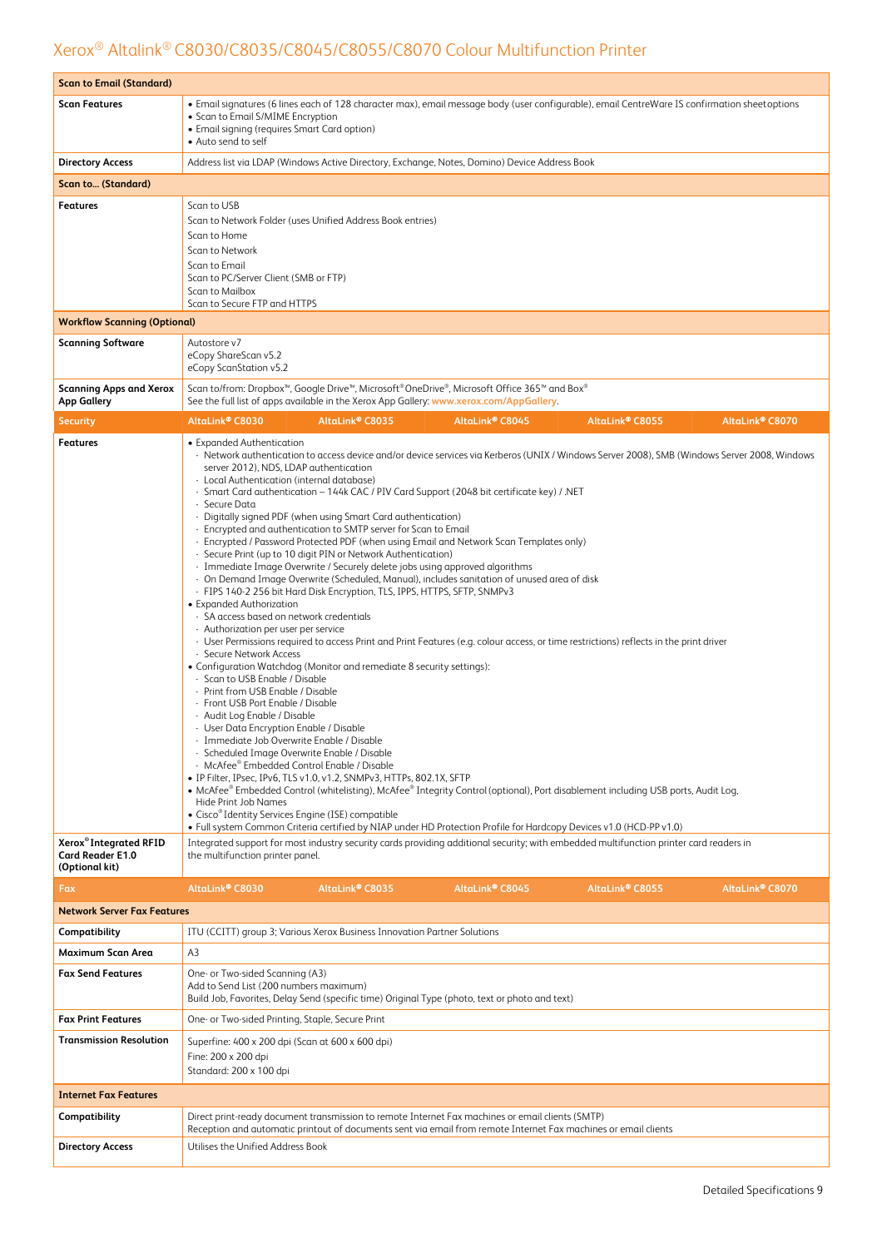| <b>Scan to Email (Standard)</b>                       |                                                                                                                                                                                                                                                                                                                                                                                                                                                                                                                                                                                                                                                                                                                                                                                                                                                                                                                                                                                                                                                                                                                                                                                                                                                                                                                                                                                                                                                                                                                                                                                                                                                                                                                                                                                                                                                                                                                                                                                                                                                                                                                                                                                                               |
|-------------------------------------------------------|---------------------------------------------------------------------------------------------------------------------------------------------------------------------------------------------------------------------------------------------------------------------------------------------------------------------------------------------------------------------------------------------------------------------------------------------------------------------------------------------------------------------------------------------------------------------------------------------------------------------------------------------------------------------------------------------------------------------------------------------------------------------------------------------------------------------------------------------------------------------------------------------------------------------------------------------------------------------------------------------------------------------------------------------------------------------------------------------------------------------------------------------------------------------------------------------------------------------------------------------------------------------------------------------------------------------------------------------------------------------------------------------------------------------------------------------------------------------------------------------------------------------------------------------------------------------------------------------------------------------------------------------------------------------------------------------------------------------------------------------------------------------------------------------------------------------------------------------------------------------------------------------------------------------------------------------------------------------------------------------------------------------------------------------------------------------------------------------------------------------------------------------------------------------------------------------------------------|
| <b>Scan Features</b>                                  | • Email signatures (6 lines each of 128 character max), email message body (user configurable), email CentreWare IS confirmation sheetoptions<br>• Scan to Email S/MIME Encryption<br>• Email signing (requires Smart Card option)<br>• Auto send to self                                                                                                                                                                                                                                                                                                                                                                                                                                                                                                                                                                                                                                                                                                                                                                                                                                                                                                                                                                                                                                                                                                                                                                                                                                                                                                                                                                                                                                                                                                                                                                                                                                                                                                                                                                                                                                                                                                                                                     |
| <b>Directory Access</b>                               | Address list via LDAP (Windows Active Directory, Exchange, Notes, Domino) Device Address Book                                                                                                                                                                                                                                                                                                                                                                                                                                                                                                                                                                                                                                                                                                                                                                                                                                                                                                                                                                                                                                                                                                                                                                                                                                                                                                                                                                                                                                                                                                                                                                                                                                                                                                                                                                                                                                                                                                                                                                                                                                                                                                                 |
| Scan to (Standard)                                    |                                                                                                                                                                                                                                                                                                                                                                                                                                                                                                                                                                                                                                                                                                                                                                                                                                                                                                                                                                                                                                                                                                                                                                                                                                                                                                                                                                                                                                                                                                                                                                                                                                                                                                                                                                                                                                                                                                                                                                                                                                                                                                                                                                                                               |
| <b>Features</b>                                       | Scan to USB<br>Scan to Network Folder (uses Unified Address Book entries)<br>Scan to Home<br>Scan to Network<br>Scan to Email<br>Scan to PC/Server Client (SMB or FTP)<br>Scan to Mailbox<br>Scan to Secure FTP and HTTPS                                                                                                                                                                                                                                                                                                                                                                                                                                                                                                                                                                                                                                                                                                                                                                                                                                                                                                                                                                                                                                                                                                                                                                                                                                                                                                                                                                                                                                                                                                                                                                                                                                                                                                                                                                                                                                                                                                                                                                                     |
| <b>Workflow Scanning (Optional)</b>                   |                                                                                                                                                                                                                                                                                                                                                                                                                                                                                                                                                                                                                                                                                                                                                                                                                                                                                                                                                                                                                                                                                                                                                                                                                                                                                                                                                                                                                                                                                                                                                                                                                                                                                                                                                                                                                                                                                                                                                                                                                                                                                                                                                                                                               |
| <b>Scanning Software</b>                              | Autostore v7<br>eCopy ShareScan v5.2<br>eCopy ScanStation v5.2                                                                                                                                                                                                                                                                                                                                                                                                                                                                                                                                                                                                                                                                                                                                                                                                                                                                                                                                                                                                                                                                                                                                                                                                                                                                                                                                                                                                                                                                                                                                                                                                                                                                                                                                                                                                                                                                                                                                                                                                                                                                                                                                                |
| <b>Scanning Apps and Xerox</b><br><b>App Gallery</b>  | Scan to/from: Dropbox <sup>™</sup> , Google Drive <sup>™</sup> , Microsoft® OneDrive®, Microsoft Office 365™ and Box®<br>See the full list of apps available in the Xerox App Gallery: www.xerox.com/AppGallery.                                                                                                                                                                                                                                                                                                                                                                                                                                                                                                                                                                                                                                                                                                                                                                                                                                                                                                                                                                                                                                                                                                                                                                                                                                                                                                                                                                                                                                                                                                                                                                                                                                                                                                                                                                                                                                                                                                                                                                                              |
| Security                                              | AltaLink® C8030<br>AltaLink <sup>®</sup> C8035<br>AltaLink <sup>®</sup> C8045<br>AltaLink <sup>®</sup> C8055<br>AltaLink® C8070                                                                                                                                                                                                                                                                                                                                                                                                                                                                                                                                                                                                                                                                                                                                                                                                                                                                                                                                                                                                                                                                                                                                                                                                                                                                                                                                                                                                                                                                                                                                                                                                                                                                                                                                                                                                                                                                                                                                                                                                                                                                               |
| <b>Features</b><br>Xerox <sup>®</sup> Integrated RFID | • Expanded Authentication<br>- Network authentication to access device and/or device services via Kerberos (UNIX / Windows Server 2008), SMB (Windows Server 2008, Windows<br>server 2012), NDS, LDAP authentication<br>- Local Authentication (internal database)<br>- Smart Card authentication - 144k CAC / PIV Card Support (2048 bit certificate key) / .NET<br>- Secure Data<br>- Digitally signed PDF (when using Smart Card authentication)<br>- Encrypted and authentication to SMTP server for Scan to Email<br>- Encrypted / Password Protected PDF (when using Email and Network Scan Templates only)<br>- Secure Print (up to 10 digit PIN or Network Authentication)<br>- Immediate Image Overwrite / Securely delete jobs using approved algorithms<br>- On Demand Image Overwrite (Scheduled, Manual), includes sanitation of unused area of disk<br>- FIPS 140-2 256 bit Hard Disk Encryption, TLS, IPPS, HTTPS, SFTP, SNMPv3<br>• Expanded Authorization<br>- SA access based on network credentials<br>- Authorization per user per service<br>- User Permissions required to access Print and Print Features (e.g. colour access, or time restrictions) reflects in the print driver<br>- Secure Network Access<br>• Configuration Watchdog (Monitor and remediate 8 security settings):<br>- Scan to USB Enable / Disable<br>- Print from USB Enable / Disable<br>- Front USB Port Enable / Disable<br>- Audit Log Enable / Disable<br>- User Data Encryption Enable / Disable<br>- Immediate Job Overwrite Enable / Disable<br>- Scheduled Image Overwrite Enable / Disable<br>- McAfee® Embedded Control Enable / Disable<br>• IP Filter, IPsec, IPv6, TLS v1.0, v1.2, SNMPv3, HTTPs, 802.1X, SFTP<br>• McAfee® Embedded Control (whitelisting), McAfee® Integrity Control (optional), Port disablement including USB ports, Audit Log,<br>Hide Print Job Names<br>• Cisco® Identity Services Engine (ISE) compatible<br>. Full system Common Criteria certified by NIAP under HD Protection Profile for Hardcopy Devices v1.0 (HCD-PP v1.0)<br>Integrated support for most industry security cards providing additional security; with embedded multifunction printer card readers in |
| <b>Card Reader E1.0</b><br>(Optional kit)             | the multifunction printer panel.                                                                                                                                                                                                                                                                                                                                                                                                                                                                                                                                                                                                                                                                                                                                                                                                                                                                                                                                                                                                                                                                                                                                                                                                                                                                                                                                                                                                                                                                                                                                                                                                                                                                                                                                                                                                                                                                                                                                                                                                                                                                                                                                                                              |
| Fax                                                   | AltaLink® C8035<br>AltaLink® C8045<br>AltaLink® C8055<br>AltaLink® C8030<br>AltaLink® C8070                                                                                                                                                                                                                                                                                                                                                                                                                                                                                                                                                                                                                                                                                                                                                                                                                                                                                                                                                                                                                                                                                                                                                                                                                                                                                                                                                                                                                                                                                                                                                                                                                                                                                                                                                                                                                                                                                                                                                                                                                                                                                                                   |
| <b>Network Server Fax Features</b>                    |                                                                                                                                                                                                                                                                                                                                                                                                                                                                                                                                                                                                                                                                                                                                                                                                                                                                                                                                                                                                                                                                                                                                                                                                                                                                                                                                                                                                                                                                                                                                                                                                                                                                                                                                                                                                                                                                                                                                                                                                                                                                                                                                                                                                               |
| Compatibility                                         | ITU (CCITT) group 3; Various Xerox Business Innovation Partner Solutions                                                                                                                                                                                                                                                                                                                                                                                                                                                                                                                                                                                                                                                                                                                                                                                                                                                                                                                                                                                                                                                                                                                                                                                                                                                                                                                                                                                                                                                                                                                                                                                                                                                                                                                                                                                                                                                                                                                                                                                                                                                                                                                                      |
| <b>Maximum Scan Area</b>                              | A3                                                                                                                                                                                                                                                                                                                                                                                                                                                                                                                                                                                                                                                                                                                                                                                                                                                                                                                                                                                                                                                                                                                                                                                                                                                                                                                                                                                                                                                                                                                                                                                                                                                                                                                                                                                                                                                                                                                                                                                                                                                                                                                                                                                                            |
| <b>Fax Send Features</b>                              | One- or Two-sided Scanning (A3)<br>Add to Send List (200 numbers maximum)<br>Build Job, Favorites, Delay Send (specific time) Original Type (photo, text or photo and text)                                                                                                                                                                                                                                                                                                                                                                                                                                                                                                                                                                                                                                                                                                                                                                                                                                                                                                                                                                                                                                                                                                                                                                                                                                                                                                                                                                                                                                                                                                                                                                                                                                                                                                                                                                                                                                                                                                                                                                                                                                   |
| <b>Fax Print Features</b>                             | One- or Two-sided Printing, Staple, Secure Print                                                                                                                                                                                                                                                                                                                                                                                                                                                                                                                                                                                                                                                                                                                                                                                                                                                                                                                                                                                                                                                                                                                                                                                                                                                                                                                                                                                                                                                                                                                                                                                                                                                                                                                                                                                                                                                                                                                                                                                                                                                                                                                                                              |
| <b>Transmission Resolution</b>                        | Superfine: 400 x 200 dpi (Scan at 600 x 600 dpi)<br>Fine: 200 x 200 dpi<br>Standard: 200 x 100 dpi                                                                                                                                                                                                                                                                                                                                                                                                                                                                                                                                                                                                                                                                                                                                                                                                                                                                                                                                                                                                                                                                                                                                                                                                                                                                                                                                                                                                                                                                                                                                                                                                                                                                                                                                                                                                                                                                                                                                                                                                                                                                                                            |
| <b>Internet Fax Features</b>                          |                                                                                                                                                                                                                                                                                                                                                                                                                                                                                                                                                                                                                                                                                                                                                                                                                                                                                                                                                                                                                                                                                                                                                                                                                                                                                                                                                                                                                                                                                                                                                                                                                                                                                                                                                                                                                                                                                                                                                                                                                                                                                                                                                                                                               |
| Compatibility                                         | Direct print-ready document transmission to remote Internet Fax machines or email clients (SMTP)<br>Reception and automatic printout of documents sent via email from remote Internet Fax machines or email clients                                                                                                                                                                                                                                                                                                                                                                                                                                                                                                                                                                                                                                                                                                                                                                                                                                                                                                                                                                                                                                                                                                                                                                                                                                                                                                                                                                                                                                                                                                                                                                                                                                                                                                                                                                                                                                                                                                                                                                                           |
| <b>Directory Access</b>                               | Utilises the Unified Address Book                                                                                                                                                                                                                                                                                                                                                                                                                                                                                                                                                                                                                                                                                                                                                                                                                                                                                                                                                                                                                                                                                                                                                                                                                                                                                                                                                                                                                                                                                                                                                                                                                                                                                                                                                                                                                                                                                                                                                                                                                                                                                                                                                                             |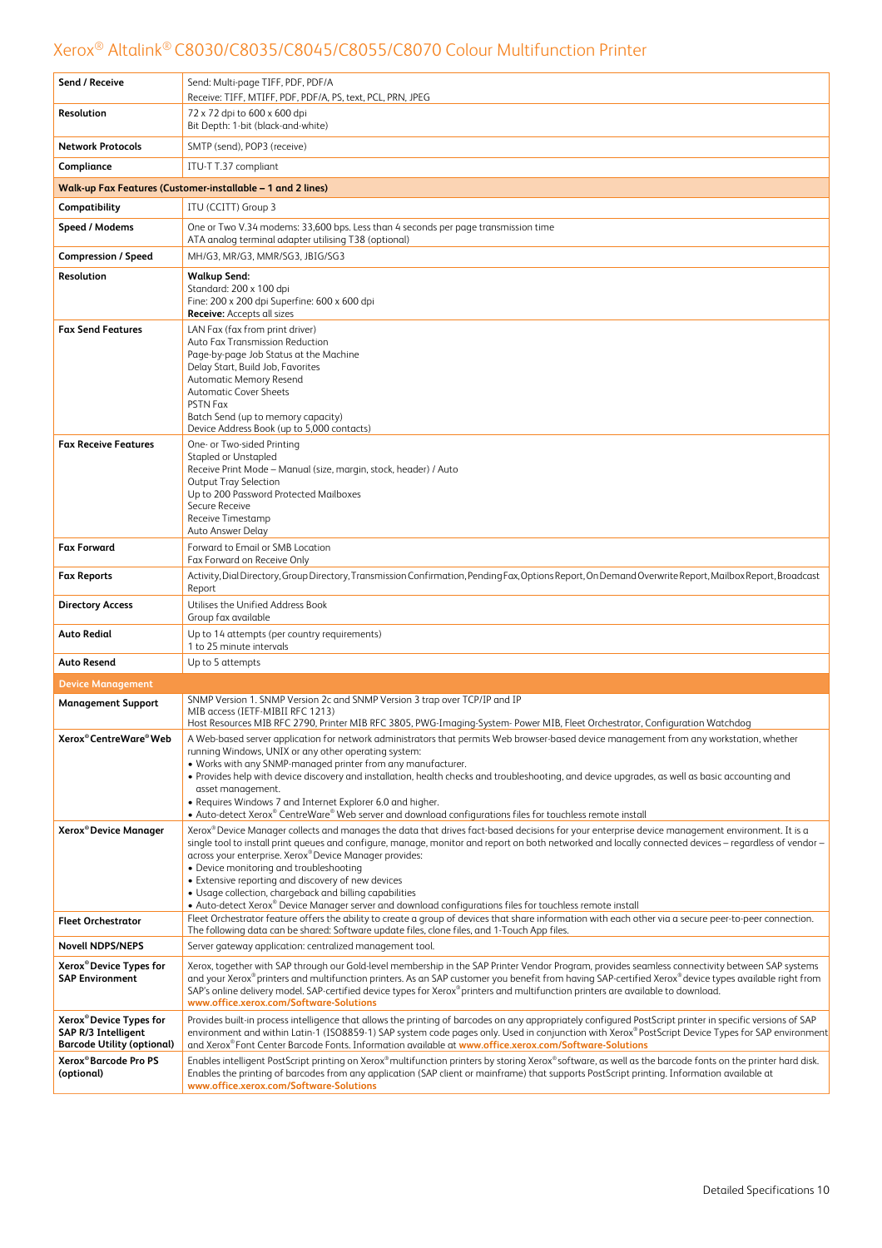| Send / Receive                                                                                  | Send: Multi-page TIFF, PDF, PDF/A<br>Receive: TIFF, MTIFF, PDF, PDF/A, PS, text, PCL, PRN, JPEG                                                                                                                                                                                                                                                                                                                                                                                                                                                                                                                                                                                                                                                                                                          |
|-------------------------------------------------------------------------------------------------|----------------------------------------------------------------------------------------------------------------------------------------------------------------------------------------------------------------------------------------------------------------------------------------------------------------------------------------------------------------------------------------------------------------------------------------------------------------------------------------------------------------------------------------------------------------------------------------------------------------------------------------------------------------------------------------------------------------------------------------------------------------------------------------------------------|
| Resolution                                                                                      | 72 x 72 dpi to 600 x 600 dpi<br>Bit Depth: 1-bit (black-and-white)                                                                                                                                                                                                                                                                                                                                                                                                                                                                                                                                                                                                                                                                                                                                       |
| <b>Network Protocols</b>                                                                        | SMTP (send), POP3 (receive)                                                                                                                                                                                                                                                                                                                                                                                                                                                                                                                                                                                                                                                                                                                                                                              |
| Compliance                                                                                      | ITU-T T.37 compliant                                                                                                                                                                                                                                                                                                                                                                                                                                                                                                                                                                                                                                                                                                                                                                                     |
|                                                                                                 | Walk-up Fax Features (Customer-installable - 1 and 2 lines)                                                                                                                                                                                                                                                                                                                                                                                                                                                                                                                                                                                                                                                                                                                                              |
| Compatibility                                                                                   | ITU (CCITT) Group 3                                                                                                                                                                                                                                                                                                                                                                                                                                                                                                                                                                                                                                                                                                                                                                                      |
| Speed / Modems                                                                                  | One or Two V.34 modems: 33,600 bps. Less than 4 seconds per page transmission time                                                                                                                                                                                                                                                                                                                                                                                                                                                                                                                                                                                                                                                                                                                       |
|                                                                                                 | ATA analog terminal adapter utilising T38 (optional)                                                                                                                                                                                                                                                                                                                                                                                                                                                                                                                                                                                                                                                                                                                                                     |
| <b>Compression / Speed</b>                                                                      | MH/G3, MR/G3, MMR/SG3, JBIG/SG3                                                                                                                                                                                                                                                                                                                                                                                                                                                                                                                                                                                                                                                                                                                                                                          |
| Resolution                                                                                      | <b>Walkup Send:</b><br>Standard: 200 x 100 dpi<br>Fine: 200 x 200 dpi Superfine: 600 x 600 dpi<br>Receive: Accepts all sizes                                                                                                                                                                                                                                                                                                                                                                                                                                                                                                                                                                                                                                                                             |
| <b>Fax Send Features</b>                                                                        | LAN Fax (fax from print driver)<br>Auto Fax Transmission Reduction<br>Page-by-page Job Status at the Machine<br>Delay Start, Build Job, Favorites<br>Automatic Memory Resend<br><b>Automatic Cover Sheets</b><br>PSTN Fax<br>Batch Send (up to memory capacity)<br>Device Address Book (up to 5,000 contacts)                                                                                                                                                                                                                                                                                                                                                                                                                                                                                            |
| <b>Fax Receive Features</b>                                                                     | One- or Two-sided Printing<br><b>Stapled or Unstapled</b><br>Receive Print Mode - Manual (size, margin, stock, header) / Auto<br><b>Output Tray Selection</b><br>Up to 200 Password Protected Mailboxes<br>Secure Receive<br>Receive Timestamp<br>Auto Answer Delay                                                                                                                                                                                                                                                                                                                                                                                                                                                                                                                                      |
| <b>Fax Forward</b>                                                                              | Forward to Email or SMB Location<br>Fax Forward on Receive Only                                                                                                                                                                                                                                                                                                                                                                                                                                                                                                                                                                                                                                                                                                                                          |
| <b>Fax Reports</b>                                                                              | Activity, Dial Directory, Group Directory, Transmission Confirmation, Pending Fax, Options Report, On Demand Overwrite Report, Mailbox Report, Broadcast<br>Report                                                                                                                                                                                                                                                                                                                                                                                                                                                                                                                                                                                                                                       |
| <b>Directory Access</b>                                                                         | Utilises the Unified Address Book<br>Group fax available                                                                                                                                                                                                                                                                                                                                                                                                                                                                                                                                                                                                                                                                                                                                                 |
| <b>Auto Redial</b>                                                                              | Up to 14 attempts (per country requirements)<br>1 to 25 minute intervals                                                                                                                                                                                                                                                                                                                                                                                                                                                                                                                                                                                                                                                                                                                                 |
| <b>Auto Resend</b>                                                                              | Up to 5 attempts                                                                                                                                                                                                                                                                                                                                                                                                                                                                                                                                                                                                                                                                                                                                                                                         |
| <b>Device Management</b>                                                                        |                                                                                                                                                                                                                                                                                                                                                                                                                                                                                                                                                                                                                                                                                                                                                                                                          |
| <b>Management Support</b>                                                                       | SNMP Version 1. SNMP Version 2c and SNMP Version 3 trap over TCP/IP and IP<br>MIB access (IETF-MIBII RFC 1213)<br>Host Resources MIB RFC 2790, Printer MIB RFC 3805, PWG-Imaging-System- Power MIB, Fleet Orchestrator, Configuration Watchdog                                                                                                                                                                                                                                                                                                                                                                                                                                                                                                                                                           |
| Xerox <sup>®</sup> CentreWare <sup>®</sup> Web                                                  | A Web-based server application for network administrators that permits Web browser-based device management from any workstation, whether<br>running Windows, UNIX or any other operating system:<br>. Works with any SNMP-managed printer from any manufacturer.<br>• Provides help with device discovery and installation, health checks and troubleshooting, and device upgrades, as well as basic accounting and<br>asset management.<br>• Requires Windows 7 and Internet Explorer 6.0 and higher.<br>• Auto-detect Xerox® CentreWare® Web server and download configurations files for touchless remote install                                                                                                                                                                                     |
| Xerox <sup>®</sup> Device Manager                                                               | Xerox® Device Manager collects and manages the data that drives fact-based decisions for your enterprise device management environment. It is a<br>single tool to install print queues and configure, manage, monitor and report on both networked and locally connected devices - regardless of vendor -<br>across your enterprise. Xerox® Device Manager provides:<br>• Device monitoring and troubleshooting<br>• Extensive reporting and discovery of new devices<br>• Usage collection, chargeback and billing capabilities<br>• Auto-detect Xerox® Device Manager server and download configurations files for touchless remote install<br>Fleet Orchestrator feature offers the ability to create a group of devices that share information with each other via a secure peer-to-peer connection. |
| <b>Fleet Orchestrator</b>                                                                       | The following data can be shared: Software update files, clone files, and 1-Touch App files.                                                                                                                                                                                                                                                                                                                                                                                                                                                                                                                                                                                                                                                                                                             |
| <b>Novell NDPS/NEPS</b>                                                                         | Server gateway application: centralized management tool.                                                                                                                                                                                                                                                                                                                                                                                                                                                                                                                                                                                                                                                                                                                                                 |
| Xerox <sup>®</sup> Device Types for<br><b>SAP Environment</b>                                   | Xerox, together with SAP through our Gold-level membership in the SAP Printer Vendor Program, provides seamless connectivity between SAP systems<br>and your Xerox®printers and multifunction printers. As an SAP customer you benefit from having SAP-certified Xerox®device types available right from<br>SAP's online delivery model. SAP-certified device types for Xerox®printers and multifunction printers are available to download.<br>www.office.xerox.com/Software-Solutions                                                                                                                                                                                                                                                                                                                  |
| Xerox <sup>®</sup> Device Types for<br>SAP R/3 Intelligent<br><b>Barcode Utility (optional)</b> | Provides built-in process intelligence that allows the printing of barcodes on any appropriately configured PostScript printer in specific versions of SAP<br>environment and within Latin-1 (ISO8859-1) SAP system code pages only. Used in conjunction with Xerox®PostScript Device Types for SAP environment<br>and Xerox®Font Center Barcode Fonts. Information available at www.office.xerox.com/Software-Solutions                                                                                                                                                                                                                                                                                                                                                                                 |
| Xerox <sup>®</sup> Barcode Pro PS<br>(optional)                                                 | Enables intelligent PostScript printing on Xerox® multifunction printers by storing Xerox® software, as well as the barcode fonts on the printer hard disk.<br>Enables the printing of barcodes from any application (SAP client or mainframe) that supports PostScript printing. Information available at<br>www.office.xerox.com/Software-Solutions                                                                                                                                                                                                                                                                                                                                                                                                                                                    |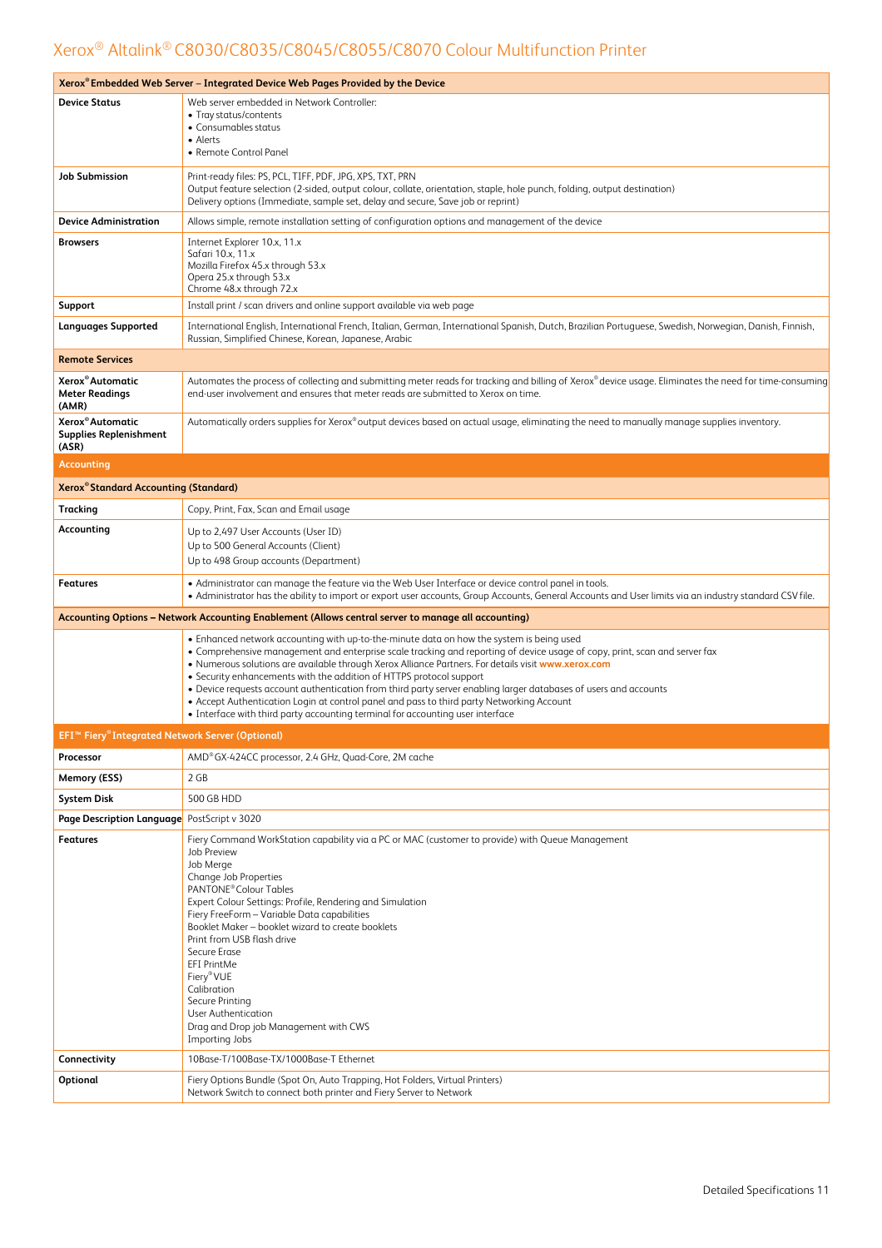| Xerox® Embedded Web Server – Integrated Device Web Pages Provided by the Device |                                                                                                                                                                                                                                                                                                                                                                                                                                                                                                                                                                                                                                                                                                         |  |  |
|---------------------------------------------------------------------------------|---------------------------------------------------------------------------------------------------------------------------------------------------------------------------------------------------------------------------------------------------------------------------------------------------------------------------------------------------------------------------------------------------------------------------------------------------------------------------------------------------------------------------------------------------------------------------------------------------------------------------------------------------------------------------------------------------------|--|--|
| <b>Device Status</b>                                                            | Web server embedded in Network Controller:<br>• Tray status/contents<br>• Consumables status<br>• Alerts<br>• Remote Control Panel                                                                                                                                                                                                                                                                                                                                                                                                                                                                                                                                                                      |  |  |
| <b>Job Submission</b>                                                           | Print-ready files: PS, PCL, TIFF, PDF, JPG, XPS, TXT, PRN<br>Output feature selection (2-sided, output colour, collate, orientation, staple, hole punch, folding, output destination)<br>Delivery options (Immediate, sample set, delay and secure, Save job or reprint)                                                                                                                                                                                                                                                                                                                                                                                                                                |  |  |
| <b>Device Administration</b>                                                    | Allows simple, remote installation setting of configuration options and management of the device                                                                                                                                                                                                                                                                                                                                                                                                                                                                                                                                                                                                        |  |  |
| <b>Browsers</b>                                                                 | Internet Explorer 10.x, 11.x<br>Safari 10.x, 11.x<br>Mozilla Firefox 45.x through 53.x<br>Opera 25.x through 53.x<br>Chrome 48.x through 72.x                                                                                                                                                                                                                                                                                                                                                                                                                                                                                                                                                           |  |  |
| Support                                                                         | Install print / scan drivers and online support available via web page                                                                                                                                                                                                                                                                                                                                                                                                                                                                                                                                                                                                                                  |  |  |
| <b>Languages Supported</b>                                                      | International English, International French, Italian, German, International Spanish, Dutch, Brazilian Portuguese, Swedish, Norwegian, Danish, Finnish,<br>Russian, Simplified Chinese, Korean, Japanese, Arabic                                                                                                                                                                                                                                                                                                                                                                                                                                                                                         |  |  |
| <b>Remote Services</b>                                                          |                                                                                                                                                                                                                                                                                                                                                                                                                                                                                                                                                                                                                                                                                                         |  |  |
| Xerox <sup>®</sup> Automatic<br><b>Meter Readings</b><br>(AMR)                  | Automates the process of collecting and submitting meter reads for tracking and billing of Xerox® device usage. Eliminates the need for time-consuming<br>end-user involvement and ensures that meter reads are submitted to Xerox on time.                                                                                                                                                                                                                                                                                                                                                                                                                                                             |  |  |
| Xerox <sup>®</sup> Automatic<br><b>Supplies Replenishment</b><br>(ASR)          | Automatically orders supplies for Xerox® output devices based on actual usage, eliminating the need to manually manage supplies inventory.                                                                                                                                                                                                                                                                                                                                                                                                                                                                                                                                                              |  |  |
| <b>Accounting</b>                                                               |                                                                                                                                                                                                                                                                                                                                                                                                                                                                                                                                                                                                                                                                                                         |  |  |
| Xerox® Standard Accounting (Standard)                                           |                                                                                                                                                                                                                                                                                                                                                                                                                                                                                                                                                                                                                                                                                                         |  |  |
| Tracking                                                                        | Copy, Print, Fax, Scan and Email usage                                                                                                                                                                                                                                                                                                                                                                                                                                                                                                                                                                                                                                                                  |  |  |
| Accounting                                                                      | Up to 2,497 User Accounts (User ID)<br>Up to 500 General Accounts (Client)<br>Up to 498 Group accounts (Department)                                                                                                                                                                                                                                                                                                                                                                                                                                                                                                                                                                                     |  |  |
| <b>Features</b>                                                                 | • Administrator can manage the feature via the Web User Interface or device control panel in tools.<br>• Administrator has the ability to import or export user accounts, Group Accounts, General Accounts and User limits via an industry standard CSV file.                                                                                                                                                                                                                                                                                                                                                                                                                                           |  |  |
|                                                                                 | Accounting Options - Network Accounting Enablement (Allows central server to manage all accounting)                                                                                                                                                                                                                                                                                                                                                                                                                                                                                                                                                                                                     |  |  |
|                                                                                 | . Enhanced network accounting with up-to-the-minute data on how the system is being used<br>• Comprehensive management and enterprise scale tracking and reporting of device usage of copy, print, scan and server fax<br>. Numerous solutions are available through Xerox Alliance Partners. For details visit www.xerox.com<br>• Security enhancements with the addition of HTTPS protocol support<br>. Device requests account authentication from third party server enabling larger databases of users and accounts<br>• Accept Authentication Login at control panel and pass to third party Networking Account<br>• Interface with third party accounting terminal for accounting user interface |  |  |
| EFI™ Fiery®Integrated Network Server (Optional)                                 |                                                                                                                                                                                                                                                                                                                                                                                                                                                                                                                                                                                                                                                                                                         |  |  |
| Processor                                                                       | AMD®GX-424CC processor, 2.4 GHz, Quad-Core, 2M cache                                                                                                                                                                                                                                                                                                                                                                                                                                                                                                                                                                                                                                                    |  |  |
| Memory (ESS)                                                                    | 2 GB                                                                                                                                                                                                                                                                                                                                                                                                                                                                                                                                                                                                                                                                                                    |  |  |
| <b>System Disk</b>                                                              | 500 GB HDD                                                                                                                                                                                                                                                                                                                                                                                                                                                                                                                                                                                                                                                                                              |  |  |
| Page Description Language                                                       | PostScript v 3020                                                                                                                                                                                                                                                                                                                                                                                                                                                                                                                                                                                                                                                                                       |  |  |
| <b>Features</b>                                                                 | Fiery Command WorkStation capability via a PC or MAC (customer to provide) with Queue Management<br>Job Preview<br>Job Merge<br>Change Job Properties<br>PANTONE <sup>®</sup> Colour Tables<br>Expert Colour Settings: Profile, Rendering and Simulation<br>Fiery FreeForm - Variable Data capabilities<br>Booklet Maker - booklet wizard to create booklets<br>Print from USB flash drive<br>Secure Erase<br><b>EFI PrintMe</b><br>Fiery® VUE<br>Calibration<br>Secure Printing<br>User Authentication<br>Drag and Drop job Management with CWS<br>Importing Jobs                                                                                                                                      |  |  |
| Connectivity                                                                    | 10Base-T/100Base-TX/1000Base-T Ethernet                                                                                                                                                                                                                                                                                                                                                                                                                                                                                                                                                                                                                                                                 |  |  |
| Optional                                                                        | Fiery Options Bundle (Spot On, Auto Trapping, Hot Folders, Virtual Printers)<br>Network Switch to connect both printer and Fiery Server to Network                                                                                                                                                                                                                                                                                                                                                                                                                                                                                                                                                      |  |  |